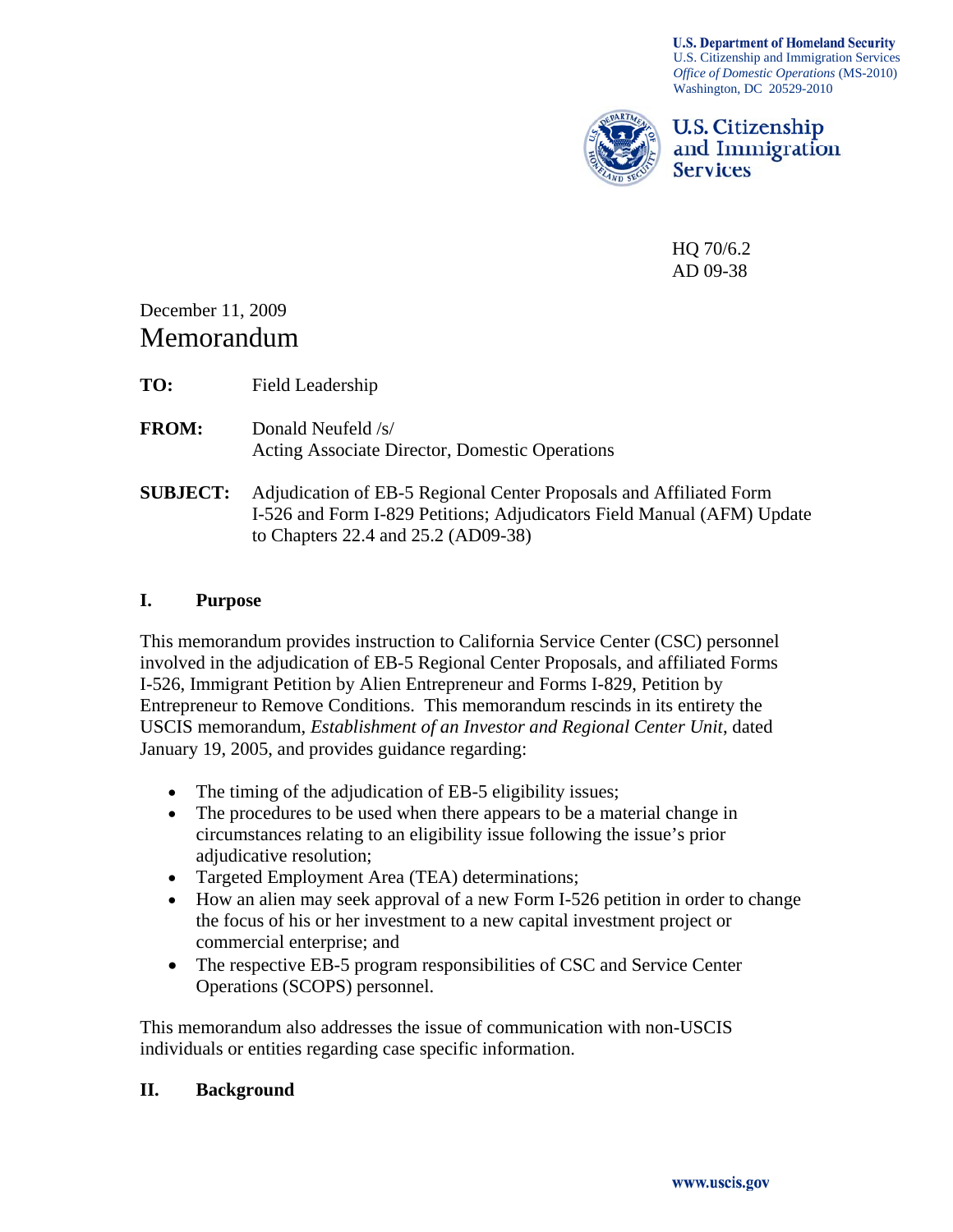**U.S. Department of Homeland Security** U.S. Citizenship and Immigration Services *Office of Domestic Operations* (MS-2010) Washington, DC 20529-2010



U.S. Citizenship and Immigration **Services** 

HQ 70/6.2 AD 09-38

December 11, 2009 Memorandum

**TO:** Field Leadership

**FROM:** Donald Neufeld /s/ Acting Associate Director, Domestic Operations

**SUBJECT:** Adjudication of EB-5 Regional Center Proposals and Affiliated Form I-526 and Form I-829 Petitions; Adjudicators Field Manual (AFM) Update to Chapters 22.4 and 25.2 (AD09-38)

## **I. Purpose**

This memorandum provides instruction to California Service Center (CSC) personnel involved in the adjudication of EB-5 Regional Center Proposals, and affiliated Forms I-526, Immigrant Petition by Alien Entrepreneur and Forms I-829, Petition by Entrepreneur to Remove Conditions. This memorandum rescinds in its entirety the USCIS memorandum, *Establishment of an Investor and Regional Center Unit*, dated January 19, 2005, and provides guidance regarding:

- The timing of the adjudication of EB-5 eligibility issues;
- The procedures to be used when there appears to be a material change in circumstances relating to an eligibility issue following the issue's prior adjudicative resolution;
- Targeted Employment Area (TEA) determinations;
- How an alien may seek approval of a new Form I-526 petition in order to change the focus of his or her investment to a new capital investment project or commercial enterprise; and
- The respective EB-5 program responsibilities of CSC and Service Center Operations (SCOPS) personnel.

This memorandum also addresses the issue of communication with non-USCIS individuals or entities regarding case specific information.

### **II. Background**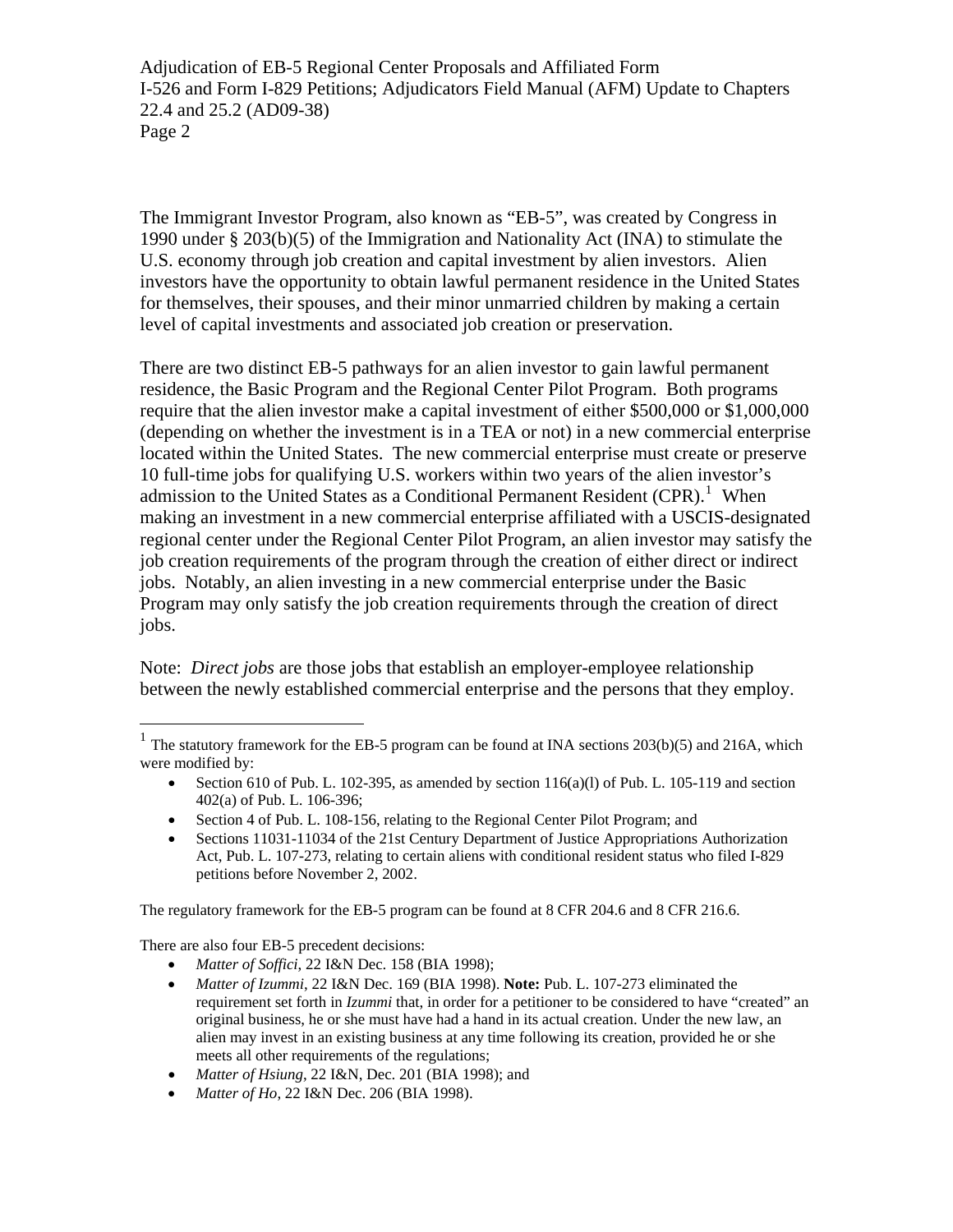1990 under  $\S 203(b)(5)$  of the Immigration and Nationality Act (INA) to stimulate the investors have the opportunity to obtain lawful permanent residence in the United States for themselves, their spouses, and their minor unmarried children by making a certain level of capital investments and associated job creation or preservation. The Immigrant Investor Program, also known as "EB-5", was created by Congress in U.S. economy through job creation and capital investment by alien investors. Alien

located within the United States. The new commercial enterprise must create or preserve job creation requirements of the program through the creation of either direct or indirect Program may only satisfy the job creation requirements through the creation of direct jobs. There are two distinct EB-5 pathways for an alien investor to gain lawful permanent residence, the Basic Program and the Regional Center Pilot Program. Both programs require that the alien investor make a capital investment of either \$500,000 or \$1,000,000 (depending on whether the investment is in a TEA or not) in a new commercial enterprise 10 full-time jobs for qualifying U.S. workers within two years of the alien investor's admission to the United States as a Conditional Permanent Resident  $(CPR)$ .<sup>[1](#page-1-0)</sup> When making an investment in a new commercial enterprise affiliated with a USCIS-designated regional center under the Regional Center Pilot Program, an alien investor may satisfy the jobs. Notably, an alien investing in a new commercial enterprise under the Basic

Note: *Direct jobs* are those jobs that establish an employer-employee relationship between the newly established commercial enterprise and the persons that they employ.

- Section 610 of Pub. L. 102-395, as amended by [section](http://www.uscis.gov/propub/template.htm?view=document&doc_action=sethitdoc&doc_hit=1&doc_searchcontext=jump&s_context=jump&s_action=newSearch&s_method=applyFilter&s_fieldSearch=nxthomecollectionid|publaw&s_fieldSearch=foliodestination|pl106396iv402a&s_type=all&hash=0-0-0-0) 116(a)(l) of Pub. L. 105-119 and section [402\(a\) of Pub. L. 106-396;](http://www.uscis.gov/propub/template.htm?view=document&doc_action=sethitdoc&doc_hit=1&doc_searchcontext=jump&s_context=jump&s_action=newSearch&s_method=applyFilter&s_fieldSearch=nxthomecollectionid|publaw&s_fieldSearch=foliodestination|pl106396iv402a&s_type=all&hash=0-0-0-0)
- Section 4 of Pub. L. 108-156, relating to the Regional Center Pilot Program; and
- Sections 11031-11034 of the 21st Century Department of Justice Appropriations Authorization Act, Pub. L. 107-273, relating to certain aliens with conditional resident status who filed I-829 petitions before November 2, 2002.

The regulatory framework for the EB-5 program can be found at 8 CFR 204.6 and 8 CFR 216.6.

There are also four EB-5 precedent decisions:

 $\overline{a}$ 

- *Matter of Soffici*, 22 I&N Dec. 158 (BIA 1998);
- *Matter of Izummi*, 22 I&N Dec. 169 (BIA 1998). **Note:** Pub. L. 107-273 eliminated the requirement set forth in *Izummi* that, in order for a petitioner to be considered to have "created" an original business, he or she must have had a hand in its actual creation. Under the new law, an alien may invest in an existing business at any time following its creation, provided he or she meets all other requirements of the regulations;
- *Matter of Hsiung*, 22 I&N, Dec. 201 (BIA 1998); and
- *Matter of Ho*, 22 I&N Dec. 206 (BIA 1998).

<span id="page-1-0"></span><sup>&</sup>lt;sup>1</sup> The statutory framework for the EB-5 program can be found at INA sections  $203(b)(5)$  and  $216A$ , which were modified by: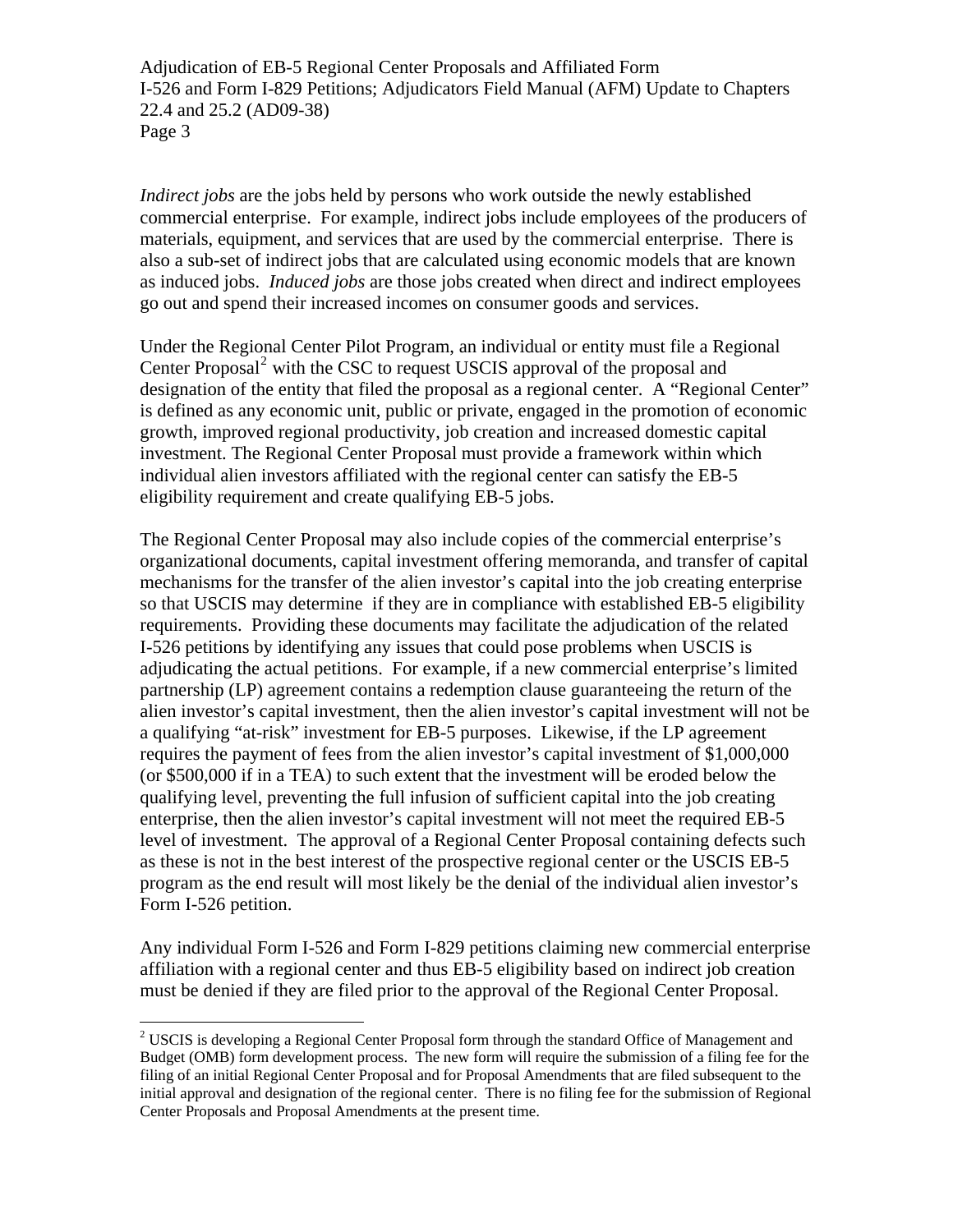commercial enterprise. For example, indirect jobs include employees of the producers of as induced jobs. *Induced jobs* are those jobs created when direct and indirect employees go out and spend their increased incomes on consumer goods and services. *Indirect jobs* are the jobs held by persons who work outside the newly established materials, equipment, and services that are used by the commercial enterprise. There is also a sub-set of indirect jobs that are calculated using economic models that are known

Under the Regional Center Pilot Program, an individual or entity must file a Regional is defined as any economic unit, public or private, engaged in the promotion of economic investment. The Regional Center Proposal must provide a framework within which individual alien investors affiliated with the regional center can satisfy the EB-5 eligibility requirement and create qualifying EB-5 jobs. Center Proposal<sup>[2](#page-2-0)</sup> with the CSC to request USCIS approval of the proposal and designation of the entity that filed the proposal as a regional center. A "Regional Center" growth, improved regional productivity, job creation and increased domestic capital

so that USCIS may determine if they are in compliance with established EB-5 eligibility requirements. Providing these documents may facilitate the adjudication of the related alien investor's capital investment, then the alien investor's capital investment will not be program as the end result will most likely be the denial of the individual alien investor's Form I-526 petition. The Regional Center Proposal may also include copies of the commercial enterprise's organizational documents, capital investment offering memoranda, and transfer of capital mechanisms for the transfer of the alien investor's capital into the job creating enterprise I-526 petitions by identifying any issues that could pose problems when USCIS is adjudicating the actual petitions. For example, if a new commercial enterprise's limited partnership (LP) agreement contains a redemption clause guaranteeing the return of the a qualifying "at-risk" investment for EB-5 purposes. Likewise, if the LP agreement requires the payment of fees from the alien investor's capital investment of \$1,000,000 (or \$500,000 if in a TEA) to such extent that the investment will be eroded below the qualifying level, preventing the full infusion of sufficient capital into the job creating enterprise, then the alien investor's capital investment will not meet the required EB-5 level of investment. The approval of a Regional Center Proposal containing defects such as these is not in the best interest of the prospective regional center or the USCIS EB-5

Any individual Form I-526 and Form I-829 petitions claiming new commercial enterprise must be denied if they are filed prior to the approval of the Regional Center Proposal. affiliation with a regional center and thus EB-5 eligibility based on indirect job creation

 $\overline{a}$ 

<span id="page-2-0"></span> $2^2$  USCIS is developing a Regional Center Proposal form through the standard Office of Management and Budget (OMB) form development process. The new form will require the submission of a filing fee for the filing of an initial Regional Center Proposal and for Proposal Amendments that are filed subsequent to the initial approval and designation of the regional center. There is no filing fee for the submission of Regional Center Proposals and Proposal Amendments at the present time.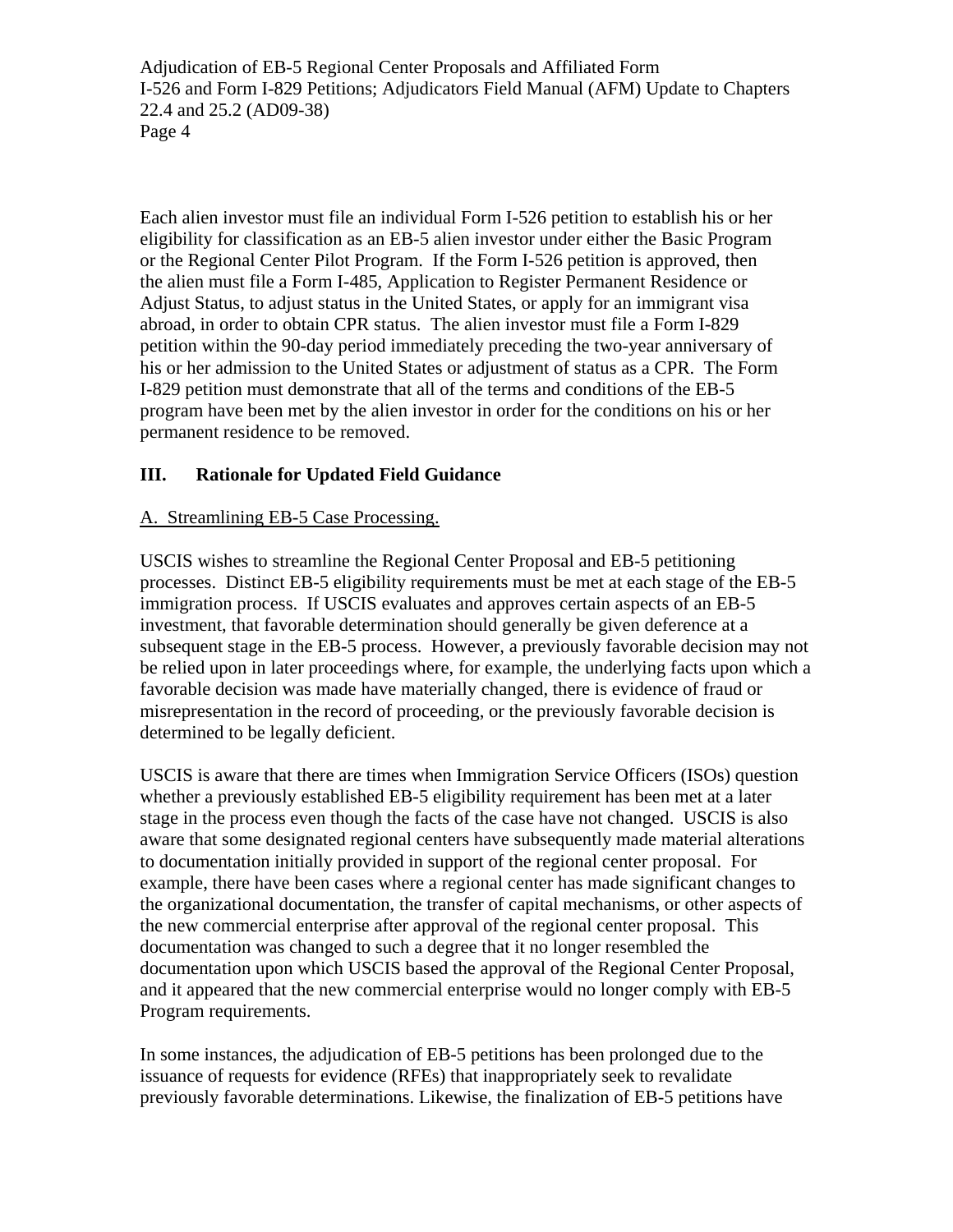his or her admission to the United States or adjustment of status as a CPR. The Form program have been met by the alien investor in order for the conditions on his or her permanent residence to be removed. Each alien investor must file an individual Form I-526 petition to establish his or her eligibility for classification as an EB-5 alien investor under either the Basic Program or the Regional Center Pilot Program. If the Form I-526 petition is approved, then the alien must file a Form I-485, Application to Register Permanent Residence or Adjust Status, to adjust status in the United States, or apply for an immigrant visa abroad, in order to obtain CPR status. The alien investor must file a Form I-829 petition within the 90-day period immediately preceding the two-year anniversary of I-829 petition must demonstrate that all of the terms and conditions of the EB-5

#### **I. Rationale for Updated Field Guidance II**

## A. Streamlining EB-5 Case Processing.

processes. Distinct EB-5 eligibility requirements must be met at each stage of the EB-5 be relied upon in later proceedings where, for example, the underlying facts upon which a misrepresentation in the record of proceeding, or the previously favorable decision is determined to be legally deficient. USCIS wishes to streamline the Regional Center Proposal and EB-5 petitioning immigration process. If USCIS evaluates and approves certain aspects of an EB-5 investment, that favorable determination should generally be given deference at a subsequent stage in the EB-5 process. However, a previously favorable decision may not favorable decision was made have materially changed, there is evidence of fraud or

USCIS is aware that there are times when Immigration Service Officers (ISOs) question aware that some designated regional centers have subsequently made material alterations the organizational documentation, the transfer of capital mechanisms, or other aspects of the new commercial enterprise after approval of the regional center proposal. This and it appeared that the new commercial enterprise would no longer comply with EB-5 Program requirements. whether a previously established EB-5 eligibility requirement has been met at a later stage in the process even though the facts of the case have not changed. USCIS is also to documentation initially provided in support of the regional center proposal. For example, there have been cases where a regional center has made significant changes to documentation was changed to such a degree that it no longer resembled the documentation upon which USCIS based the approval of the Regional Center Proposal,

In some instances, the adjudication of EB-5 petitions has been prolonged due to the issuance of requests for evidence (RFEs) that inappropriately seek to revalidate previously favorable determinations. Likewise, the finalization of EB-5 petitions have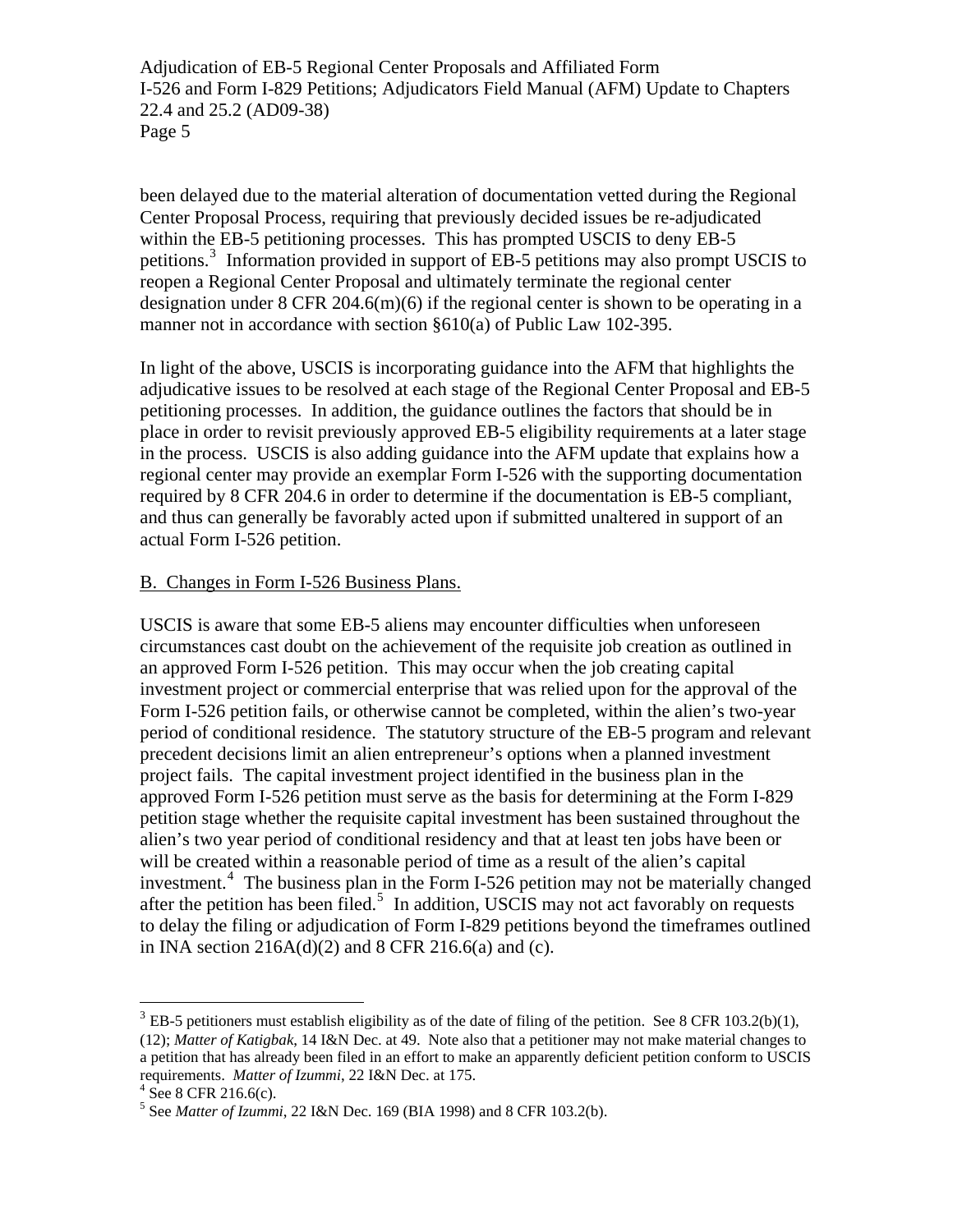been delayed due to the material alteration of documentation vetted during the Regional Center Proposal Process, requiring that previously decided issues be re-adjudicated petitions.<sup>[3](#page-4-0)</sup> Information provided in support of EB-5 petitions may also prompt USCIS to designation under  $8 \text{ CFR } 204.6 \text{ (m)}(6)$  if the regional center is shown to be operating in a manner not in accordance with section §610(a) of Public Law 102-395. within the EB-5 petitioning processes. This has prompted USCIS to deny EB-5 reopen a Regional Center Proposal and ultimately terminate the regional center

adjudicative issues to be resolved at each stage of the Regional Center Proposal and EB-5 and thus can generally be favorably acted upon if submitted unaltered in support of an actual Form I-526 petition. In light of the above, USCIS is incorporating guidance into the AFM that highlights the petitioning processes. In addition, the guidance outlines the factors that should be in place in order to revisit previously approved EB-5 eligibility requirements at a later stage in the process. USCIS is also adding guidance into the AFM update that explains how a regional center may provide an exemplar Form I-526 with the supporting documentation required by 8 CFR 204.6 in order to determine if the documentation is EB-5 compliant,

## B. Changes in Form I-526 Business Plans.

circumstances cast doubt on the achievement of the requisite job creation as outlined in period of conditional residence. The statutory structure of the EB-5 program and relevant precedent decisions limit an alien entrepreneur's options when a planned investment petition stage whether the requisite capital investment has been sustained throughout the alien's two year period of conditional residency and that at least ten jobs have been or to delay the filing or adjudication of Form I-829 petitions beyond the timeframes outlined in INA section  $216A(d)(2)$  and  $8$  CFR  $216.6(a)$  and (c). USCIS is aware that some EB-5 aliens may encounter difficulties when unforeseen an approved Form I-526 petition. This may occur when the job creating capital investment project or commercial enterprise that was relied upon for the approval of the Form I-526 petition fails, or otherwise cannot be completed, within the alien's two-year project fails. The capital investment project identified in the business plan in the approved Form I-526 petition must serve as the basis for determining at the Form I-829 will be created within a reasonable period of time as a result of the alien's capital investment.<sup>[4](#page-4-1)</sup> The business plan in the Form I-526 petition may not be materially changed after the petition has been filed.<sup>[5](#page-4-2)</sup> In addition, USCIS may not act favorably on requests

1

<span id="page-4-0"></span> $3$  EB-5 petitioners must establish eligibility as of the date of filing of the petition. See 8 CFR 103.2(b)(1), (12); *Matter of Katigbak*, 14 I&N Dec. at 49. Note also that a petitioner may not make material changes to a petition that has already been filed in an effort to make an apparently deficient petition conform to USCIS requirements. *Matter of Izummi*, 22 I&N Dec. at 175. 4

<span id="page-4-2"></span><span id="page-4-1"></span> $4$  See 8 CFR 216.6(c).

<sup>&</sup>lt;sup>5</sup> See *Matter of Izummi*, 22 I&N Dec. 169 (BIA 1998) and 8 CFR 103.2(b).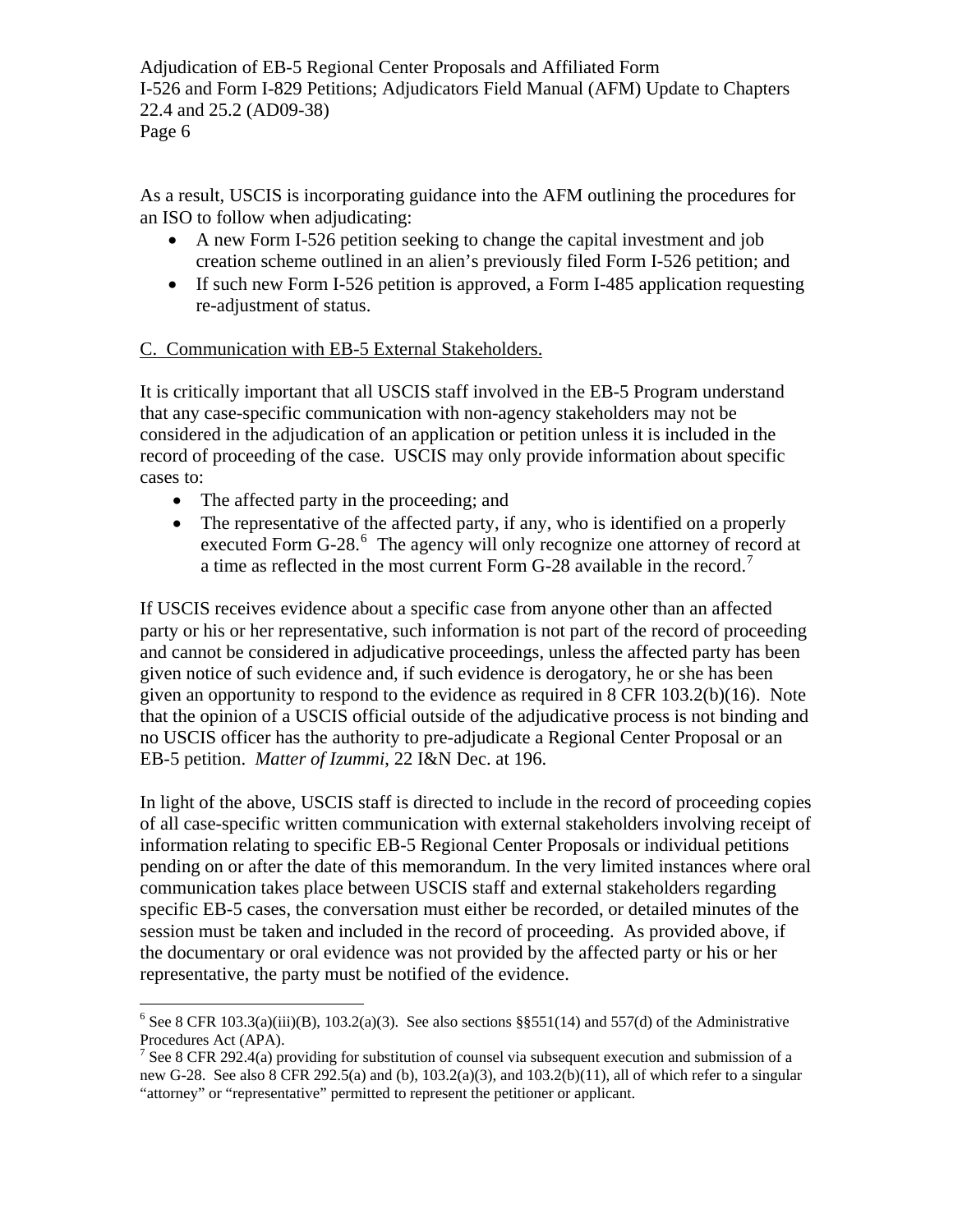As a result, USCIS is incorporating guidance into the AFM outlining the procedures for an ISO to follow when adjudicating:

- A new Form I-526 petition seeking to change the capital investment and job creation scheme outlined in an alien's previously filed Form I-526 petition; and
- If such new Form I-526 petition is approved, a Form I-485 application requesting re-adjustment of status.

## C. Communication with EB-5 External Stakeholders.

It is critically important that all USCIS staff involved in the EB-5 Program understand that any case-specific communication with non-agency stakeholders may not be considered in the adjudication of an application or petition unless it is included in the record of proceeding of the case. USCIS may only provide information about specific cases to:

- The affected party in the proceeding; and
- The representative of the affected party, if any, who is identified on a properly executed Form G-28.<sup>[6](#page-5-0)</sup> The agency will only recognize one attorney of record at a time as reflected in the most current Form G-28 available in the record.<sup>[7](#page-5-1)</sup>

If USCIS receives evidence about a specific case from anyone other than an affected party or his or her representative, such information is not part of the record of proceeding and cannot be considered in adjudicative proceedings, unless the affected party has been given notice of such evidence and, if such evidence is derogatory, he or she has been given an opportunity to respond to the evidence as required in 8 CFR 103.2(b)(16). Note that the opinion of a USCIS official outside of the adjudicative process is not binding and no USCIS officer has the authority to pre-adjudicate a Regional Center Proposal or an EB-5 petition. *Matter of Izummi*, 22 I&N Dec. at 196.

In light of the above, USCIS staff is directed to include in the record of proceeding copies of all case-specific written communication with external stakeholders involving receipt of information relating to specific EB-5 Regional Center Proposals or individual petitions pending on or after the date of this memorandum. In the very limited instances where oral communication takes place between USCIS staff and external stakeholders regarding specific EB-5 cases, the conversation must either be recorded, or detailed minutes of the session must be taken and included in the record of proceeding. As provided above, if the documentary or oral evidence was not provided by the affected party or his or her representative, the party must be notified of the evidence.

<span id="page-5-0"></span><sup>1</sup> <sup>6</sup> See 8 CFR 103.3(a)(iii)(B), 103.2(a)(3). See also sections §§551(14) and 557(d) of the Administrative Procedures Act (APA).

<span id="page-5-1"></span><sup>&</sup>lt;sup>7</sup> See 8 CFR 292.4(a) providing for substitution of counsel via subsequent execution and submission of a new G-28. See also 8 CFR 292.5(a) and (b),  $103.2(a)(3)$ , and  $103.2(b)(11)$ , all of which refer to a singular "attorney" or "representative" permitted to represent the petitioner or applicant.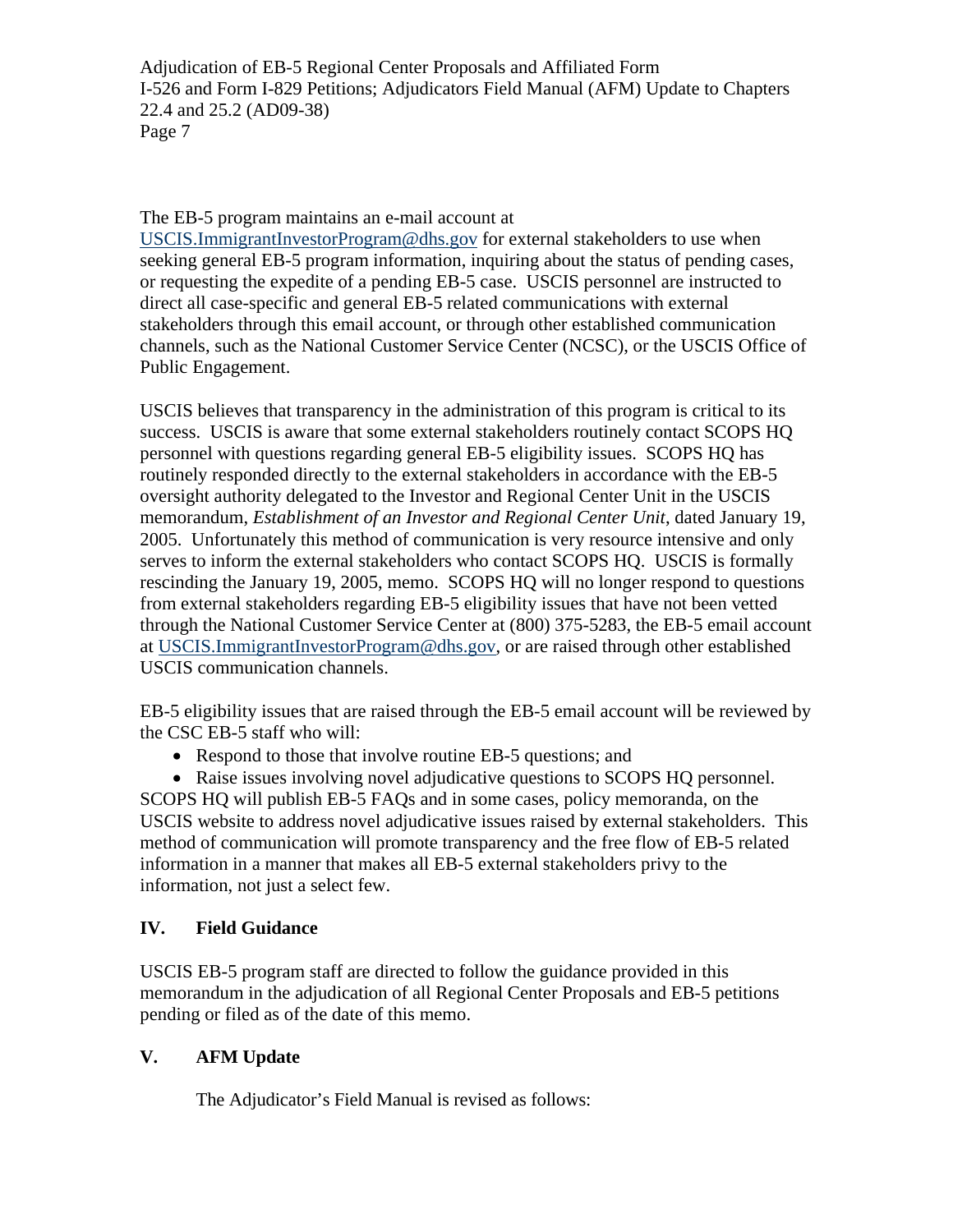The EB-5 program maintains an e-mail account at

[USCIS.ImmigrantInvestorProgram@dhs.gov](mailto:USCIS.ImmigrantInvestorProgram@dhs.gov) for external stakeholders to use when seeking general EB-5 program information, inquiring about the status of pending cases, or requesting the expedite of a pending EB-5 case. USCIS personnel are instructed to direct all case-specific and general EB-5 related communications with external stakeholders through this email account, or through other established communication channels, such as the National Customer Service Center (NCSC), or the USCIS Office of Public Engagement.

USCIS believes that transparency in the administration of this program is critical to its success. USCIS is aware that some external stakeholders routinely contact SCOPS HQ personnel with questions regarding general EB-5 eligibility issues. SCOPS HQ has routinely responded directly to the external stakeholders in accordance with the EB-5 oversight authority delegated to the Investor and Regional Center Unit in the USCIS memorandum, *Establishment of an Investor and Regional Center Unit*, dated January 19, 2005. Unfortunately this method of communication is very resource intensive and only serves to inform the external stakeholders who contact SCOPS HQ. USCIS is formally rescinding the January 19, 2005, memo. SCOPS HQ will no longer respond to questions from external stakeholders regarding EB-5 eligibility issues that have not been vetted through the National Customer Service Center at (800) 375-5283, the EB-5 email account at [USCIS.ImmigrantInvestorProgram@dhs.gov,](mailto:USCIS.ImmigrantInvestorProgram@dhs.gov) or are raised through other established USCIS communication channels.

EB-5 eligibility issues that are raised through the EB-5 email account will be reviewed by the CSC EB-5 staff who will:

• Respond to those that involve routine EB-5 questions; and

• Raise issues involving novel adjudicative questions to SCOPS HQ personnel. SCOPS HQ will publish EB-5 FAQs and in some cases, policy memoranda, on the USCIS website to address novel adjudicative issues raised by external stakeholders. This method of communication will promote transparency and the free flow of EB-5 related information in a manner that makes all EB-5 external stakeholders privy to the information, not just a select few.

# **IV. Field Guidance**

USCIS EB-5 program staff are directed to follow the guidance provided in this memorandum in the adjudication of all Regional Center Proposals and EB-5 petitions pending or filed as of the date of this memo.

# **V. AFM Update**

The Adjudicator's Field Manual is revised as follows: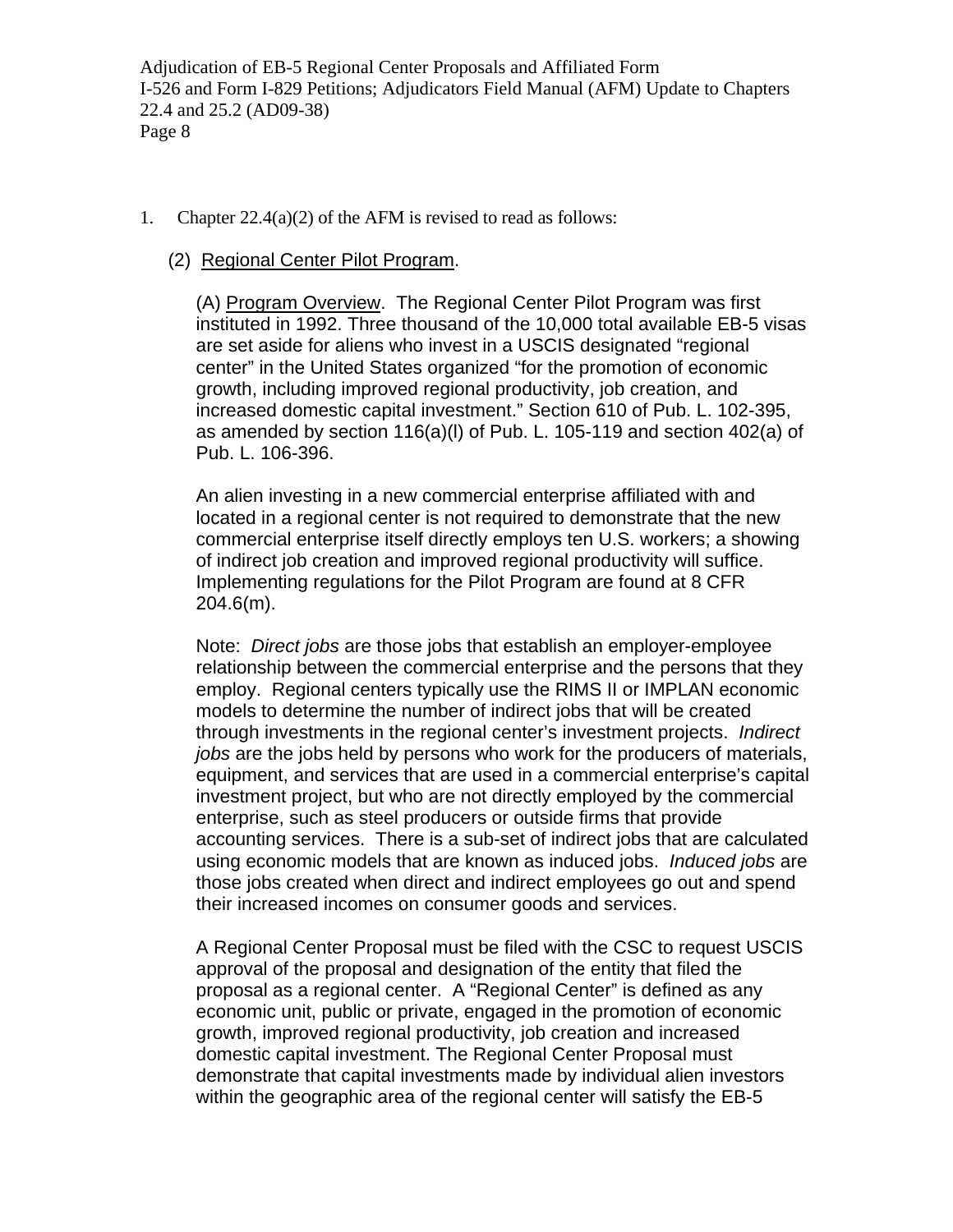- 1. Chapter 22.4(a)(2) of the AFM is revised to read as follows:
	- (2) Regional Center Pilot Program.

(A) Program Overview. The Regional Center Pilot Program was first instituted in 1992. Three thousand of the 10,000 total available EB-5 visas are set aside for aliens who invest in a USCIS designated "regional center" in the United States organized "for the promotion of economic growth, including improved regional productivity, job creation, and increased domestic capital investment." Section 610 of Pub. L. 102-395, as amended by [section 116\(a\)\(l\) of Pub. L. 105-119 a](http://www.uscis.gov/propub/template.htm?view=document&doc_action=sethitdoc&doc_hit=1&doc_searchcontext=jump&s_context=jump&s_action=newSearch&s_method=applyFilter&s_fieldSearch=nxthomecollectionid|publaw&s_fieldSearch=foliodestination|pl105119i116a1&s_type=all&hash=0-0-0-0)nd section 402(a) of Pub. L. 106-396.

An alien investing in a new commercial enterprise affiliated with and located in a regional center is not required to demonstrate that the new commercial enterprise itself directly employs ten U.S. workers; a showing of indirect job creation and improved regional productivity will suffice. Implementing regulations for the Pilot Program are found at [8 CFR](http://www.uscis.gov/propub/template.htm?view=document&doc_action=sethitdoc&doc_hit=1&doc_searchcontext=jump&s_context=jump&s_action=newSearch&s_method=applyFilter&s_fieldSearch=nxthomecollectionid|slb&s_fieldSearch=foliodestination|8cfrsec2046m&s_type=all&hash=0-0-0-11179)  [204.6\(m\)](http://www.uscis.gov/propub/template.htm?view=document&doc_action=sethitdoc&doc_hit=1&doc_searchcontext=jump&s_context=jump&s_action=newSearch&s_method=applyFilter&s_fieldSearch=nxthomecollectionid|slb&s_fieldSearch=foliodestination|8cfrsec2046m&s_type=all&hash=0-0-0-11179).

Note: *Direct jobs* are those jobs that establish an employer-employee relationship between the commercial enterprise and the persons that they employ. Regional centers typically use the RIMS II or IMPLAN economic models to determine the number of indirect jobs that will be created through investments in the regional center's investment projects. *Indirect jobs* are the jobs held by persons who work for the producers of materials, equipment, and services that are used in a commercial enterprise's capital investment project, but who are not directly employed by the commercial enterprise, such as steel producers or outside firms that provide accounting services. There is a sub-set of indirect jobs that are calculated using economic models that are known as induced jobs. *Induced jobs* are those jobs created when direct and indirect employees go out and spend their increased incomes on consumer goods and services.

A Regional Center Proposal must be filed with the CSC to request USCIS approval of the proposal and designation of the entity that filed the proposal as a regional center. A "Regional Center" is defined as any economic unit, public or private, engaged in the promotion of economic growth, improved regional productivity, job creation and increased domestic capital investment. The Regional Center Proposal must demonstrate that capital investments made by individual alien investors within the geographic area of the regional center will satisfy the EB-5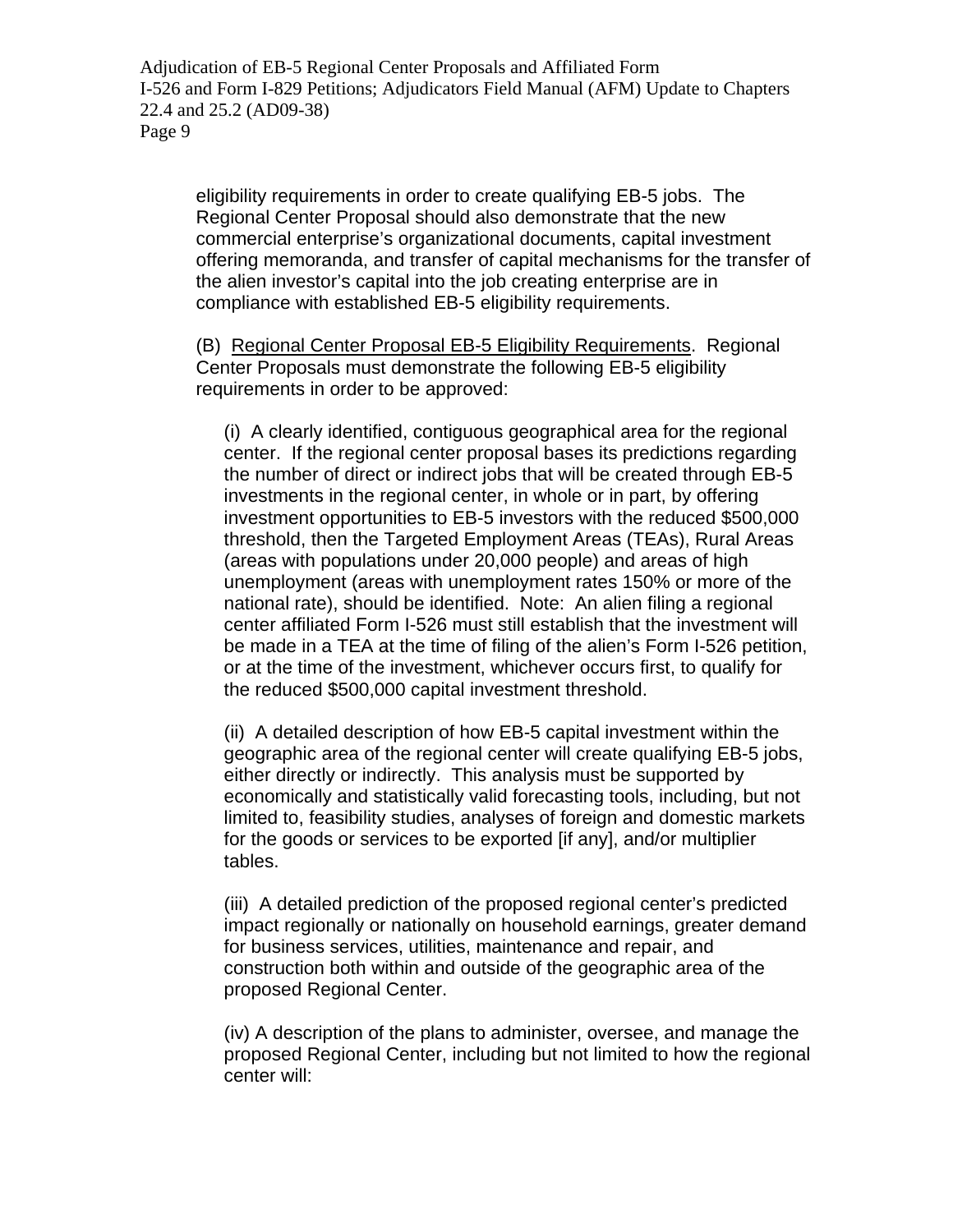eligibility requirements in order to create qualifying EB-5 jobs. The Regional Center Proposal should also demonstrate that the new commercial enterprise's organizational documents, capital investment offering memoranda, and transfer of capital mechanisms for the transfer of the alien investor's capital into the job creating enterprise are in compliance with established EB-5 eligibility requirements.

(B) Regional Center Proposal EB-5 Eligibility Requirements. Regional Center Proposals must demonstrate the following EB-5 eligibility requirements in order to be approved:

(i) A clearly identified, contiguous geographical area for the regional center. If the regional center proposal bases its predictions regarding the number of direct or indirect jobs that will be created through EB-5 investments in the regional center, in whole or in part, by offering investment opportunities to EB-5 investors with the reduced \$500,000 threshold, then the Targeted Employment Areas (TEAs), Rural Areas (areas with populations under 20,000 people) and areas of high unemployment (areas with unemployment rates 150% or more of the national rate), should be identified. Note: An alien filing a regional center affiliated Form I-526 must still establish that the investment will be made in a TEA at the time of filing of the alien's Form I-526 petition, or at the time of the investment, whichever occurs first, to qualify for the reduced \$500,000 capital investment threshold.

(ii) A detailed description of how EB-5 capital investment within the geographic area of the regional center will create qualifying EB-5 jobs, either directly or indirectly. This analysis must be supported by economically and statistically valid forecasting tools, including, but not limited to, feasibility studies, analyses of foreign and domestic markets for the goods or services to be exported [if any], and/or multiplier tables.

(iii) A detailed prediction of the proposed regional center's predicted impact regionally or nationally on household earnings, greater demand for business services, utilities, maintenance and repair, and construction both within and outside of the geographic area of the proposed Regional Center.

(iv) A description of the plans to administer, oversee, and manage the proposed Regional Center, including but not limited to how the regional center will: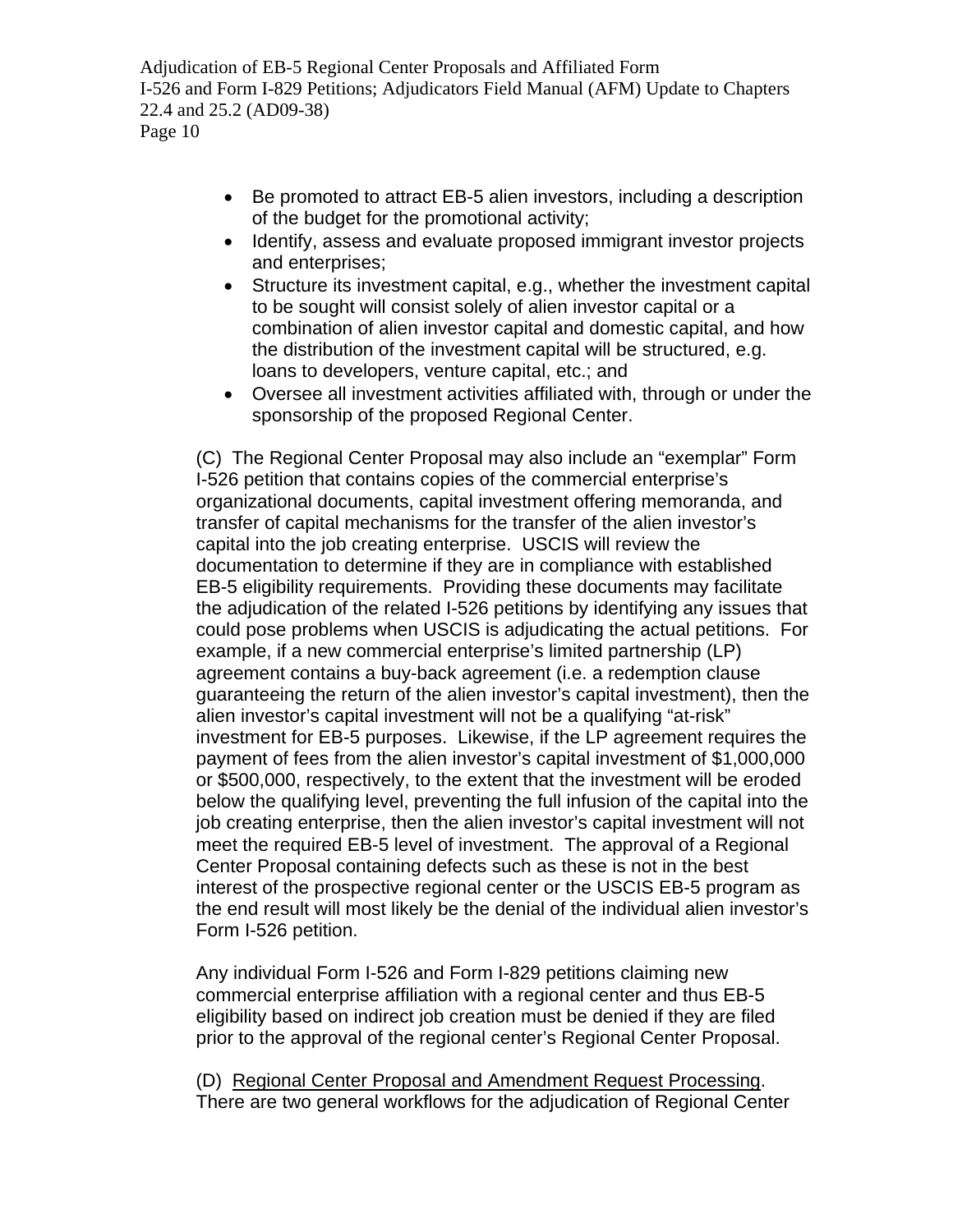- Be promoted to attract EB-5 alien investors, including a description of the budget for the promotional activity;
- Identify, assess and evaluate proposed immigrant investor projects and enterprises;
- Structure its investment capital, e.g., whether the investment capital to be sought will consist solely of alien investor capital or a combination of alien investor capital and domestic capital, and how the distribution of the investment capital will be structured, e.g. loans to developers, venture capital, etc.; and
- Oversee all investment activities affiliated with, through or under the sponsorship of the proposed Regional Center.

(C) The Regional Center Proposal may also include an "exemplar" Form I-526 petition that contains copies of the commercial enterprise's organizational documents, capital investment offering memoranda, and transfer of capital mechanisms for the transfer of the alien investor's capital into the job creating enterprise. USCIS will review the documentation to determine if they are in compliance with established EB-5 eligibility requirements. Providing these documents may facilitate the adjudication of the related I-526 petitions by identifying any issues that could pose problems when USCIS is adjudicating the actual petitions. For example, if a new commercial enterprise's limited partnership (LP) agreement contains a buy-back agreement (i.e. a redemption clause guaranteeing the return of the alien investor's capital investment), then the alien investor's capital investment will not be a qualifying "at-risk" investment for EB-5 purposes. Likewise, if the LP agreement requires the payment of fees from the alien investor's capital investment of \$1,000,000 or \$500,000, respectively, to the extent that the investment will be eroded below the qualifying level, preventing the full infusion of the capital into the job creating enterprise, then the alien investor's capital investment will not meet the required EB-5 level of investment. The approval of a Regional Center Proposal containing defects such as these is not in the best interest of the prospective regional center or the USCIS EB-5 program as the end result will most likely be the denial of the individual alien investor's Form I-526 petition.

Any individual Form I-526 and Form I-829 petitions claiming new commercial enterprise affiliation with a regional center and thus EB-5 eligibility based on indirect job creation must be denied if they are filed prior to the approval of the regional center's Regional Center Proposal.

(D) Regional Center Proposal and Amendment Request Processing. There are two general workflows for the adjudication of Regional Center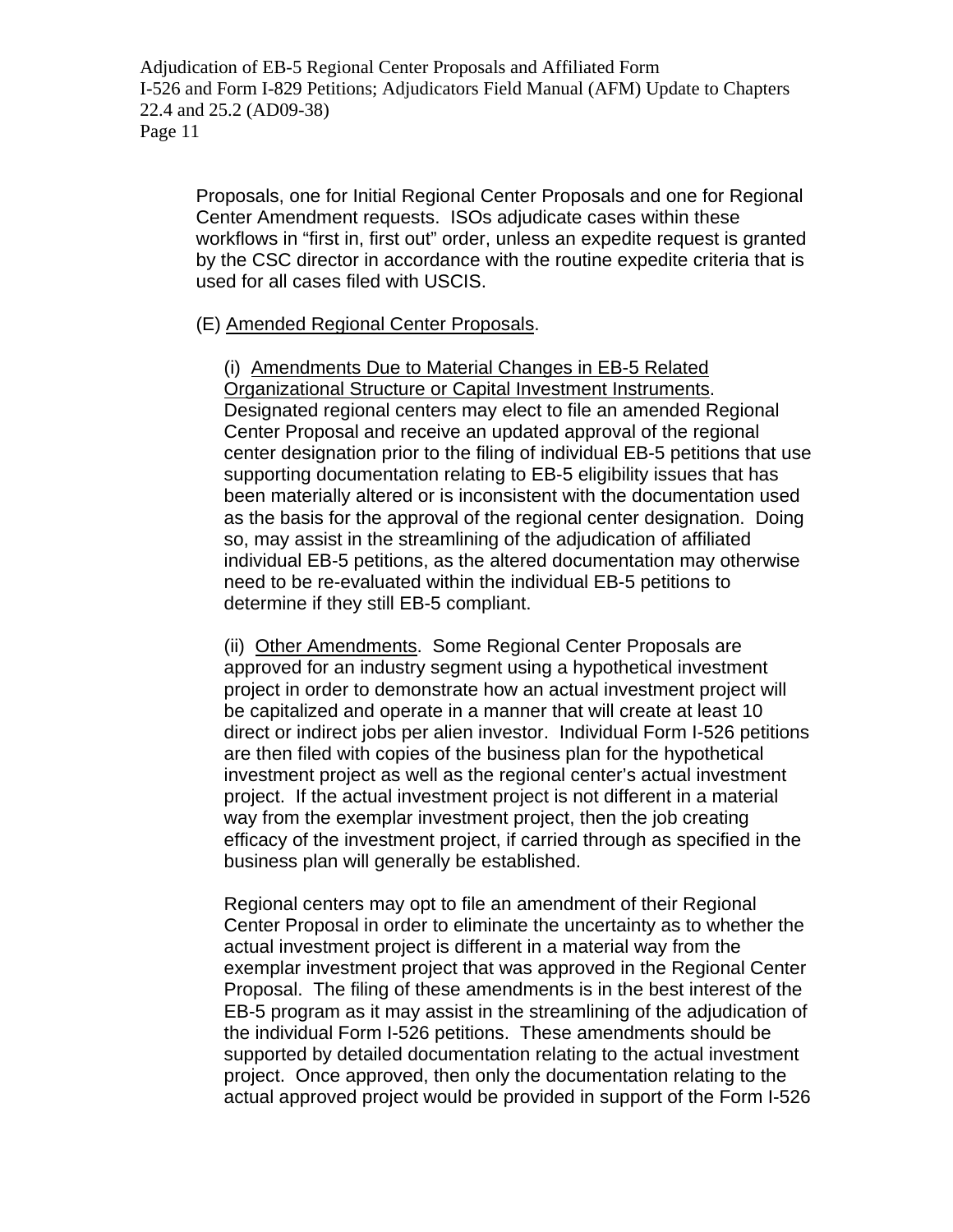Proposals, one for Initial Regional Center Proposals and one for Regional Center Amendment requests. ISOs adjudicate cases within these workflows in "first in, first out" order, unless an expedite request is granted by the CSC director in accordance with the routine expedite criteria that is used for all cases filed with USCIS.

### (E) Amended Regional Center Proposals.

(i)Amendments Due to Material Changes in EB-5 Related Organizational Structure or Capital Investment Instruments. Designated regional centers may elect to file an amended Regional Center Proposal and receive an updated approval of the regional center designation prior to the filing of individual EB-5 petitions that use supporting documentation relating to EB-5 eligibility issues that has been materially altered or is inconsistent with the documentation used as the basis for the approval of the regional center designation. Doing so, may assist in the streamlining of the adjudication of affiliated individual EB-5 petitions, as the altered documentation may otherwise need to be re-evaluated within the individual EB-5 petitions to determine if they still EB-5 compliant.

(ii)Other Amendments. Some Regional Center Proposals are approved for an industry segment using a hypothetical investment project in order to demonstrate how an actual investment project will be capitalized and operate in a manner that will create at least 10 direct or indirect jobs per alien investor. Individual Form I-526 petitions are then filed with copies of the business plan for the hypothetical investment project as well as the regional center's actual investment project. If the actual investment project is not different in a material way from the exemplar investment project, then the job creating efficacy of the investment project, if carried through as specified in the business plan will generally be established.

Regional centers may opt to file an amendment of their Regional Center Proposal in order to eliminate the uncertainty as to whether the actual investment project is different in a material way from the exemplar investment project that was approved in the Regional Center Proposal. The filing of these amendments is in the best interest of the EB-5 program as it may assist in the streamlining of the adjudication of the individual Form I-526 petitions. These amendments should be supported by detailed documentation relating to the actual investment project. Once approved, then only the documentation relating to the actual approved project would be provided in support of the Form I-526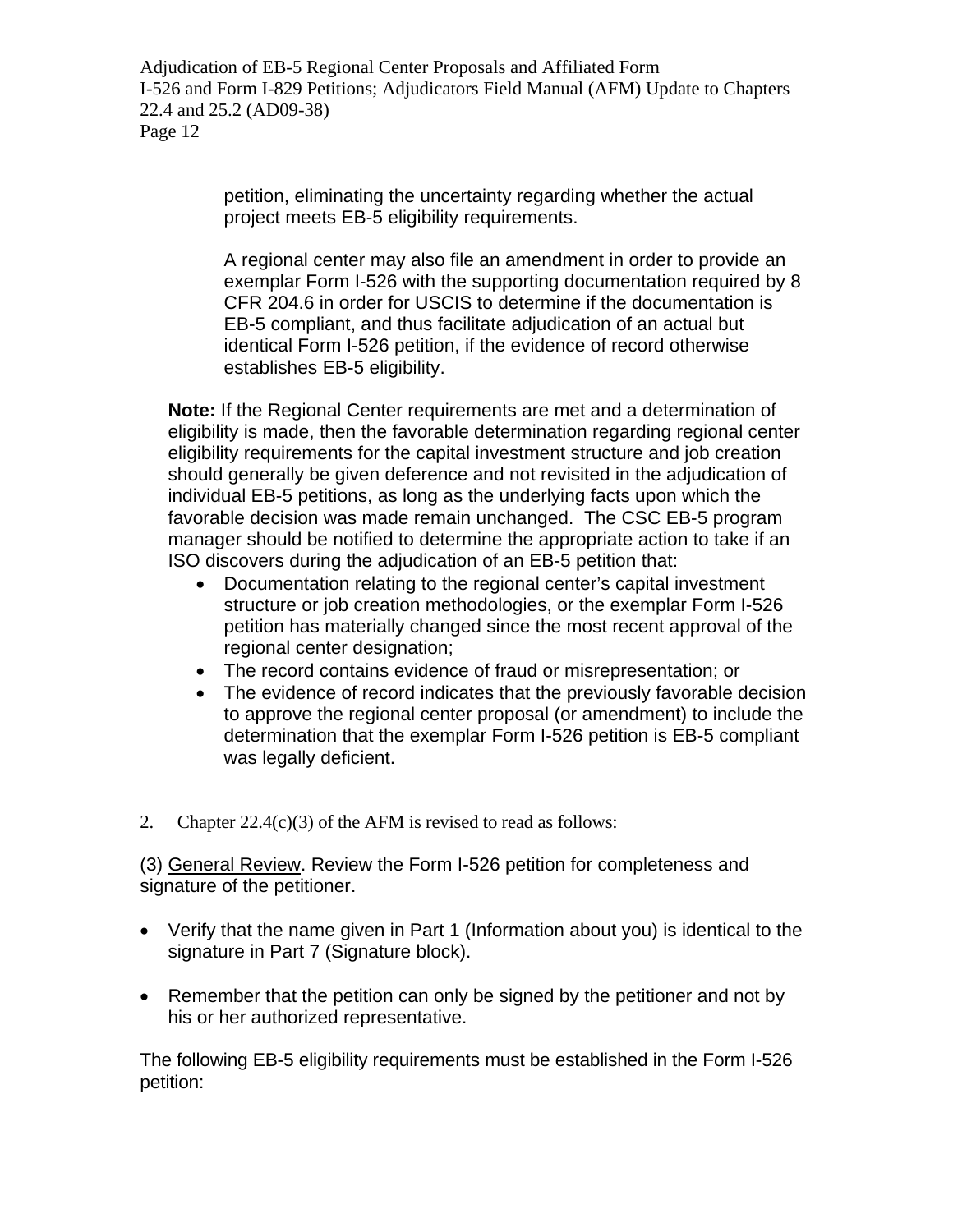> petition, eliminating the uncertainty regarding whether the actual project meets EB-5 eligibility requirements.

A regional center may also file an amendment in order to provide an exemplar Form I-526 with the supporting documentation required by 8 CFR 204.6 in order for USCIS to determine if the documentation is EB-5 compliant, and thus facilitate adjudication of an actual but identical Form I-526 petition, if the evidence of record otherwise establishes EB-5 eligibility.

**Note:** If the Regional Center requirements are met and a determination of eligibility is made, then the favorable determination regarding regional center eligibility requirements for the capital investment structure and job creation should generally be given deference and not revisited in the adjudication of individual EB-5 petitions, as long as the underlying facts upon which the favorable decision was made remain unchanged. The CSC EB-5 program manager should be notified to determine the appropriate action to take if an ISO discovers during the adjudication of an EB-5 petition that:

- Documentation relating to the regional center's capital investment structure or job creation methodologies, or the exemplar Form I-526 petition has materially changed since the most recent approval of the regional center designation;
- The record contains evidence of fraud or misrepresentation; or
- The evidence of record indicates that the previously favorable decision to approve the regional center proposal (or amendment) to include the determination that the exemplar Form I-526 petition is EB-5 compliant was legally deficient.
- 2. Chapter  $22.4(c)(3)$  of the AFM is revised to read as follows:

(3) General Review. Review the Form I-526 petition for completeness and signature of the petitioner.

- Verify that the name given in Part 1 (Information about you) is identical to the signature in Part 7 (Signature block).
- Remember that the petition can only be signed by the petitioner and not by his or her authorized representative.

The following EB-5 eligibility requirements must be established in the Form I-526 petition: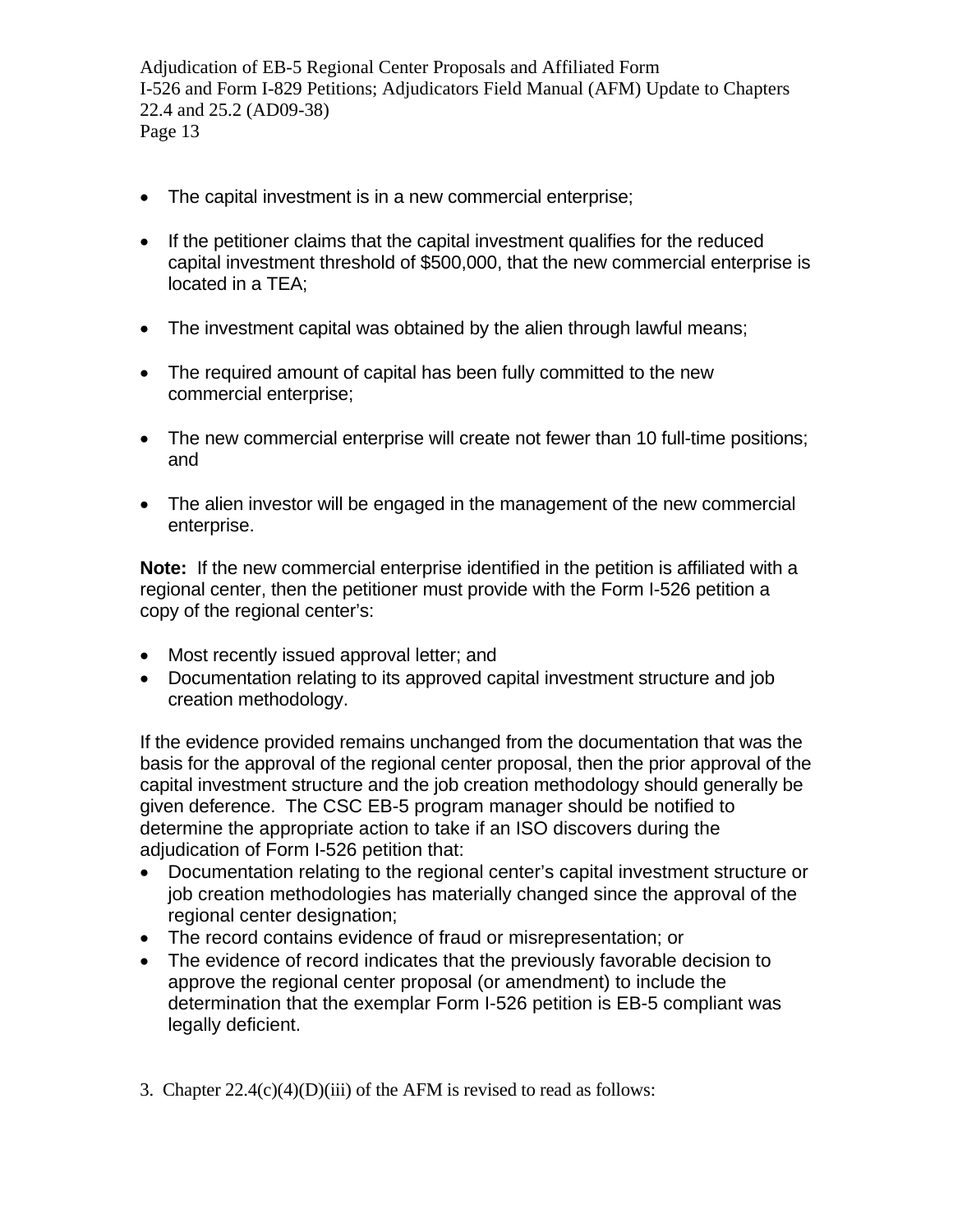- The capital investment is in a new commercial enterprise;
- If the petitioner claims that the capital investment qualifies for the reduced capital investment threshold of \$500,000, that the new commercial enterprise is located in a TEA;
- The investment capital was obtained by the alien through lawful means;
- The required amount of capital has been fully committed to the new commercial enterprise;
- The new commercial enterprise will create not fewer than 10 full-time positions; and
- The alien investor will be engaged in the management of the new commercial enterprise.

**Note:** If the new commercial enterprise identified in the petition is affiliated with a regional center, then the petitioner must provide with the Form I-526 petition a copy of the regional center's:

- Most recently issued approval letter; and
- Documentation relating to its approved capital investment structure and job creation methodology.

If the evidence provided remains unchanged from the documentation that was the basis for the approval of the regional center proposal, then the prior approval of the capital investment structure and the job creation methodology should generally be given deference. The CSC EB-5 program manager should be notified to determine the appropriate action to take if an ISO discovers during the adjudication of Form I-526 petition that:

- Documentation relating to the regional center's capital investment structure or job creation methodologies has materially changed since the approval of the regional center designation;
- The record contains evidence of fraud or misrepresentation; or
- The evidence of record indicates that the previously favorable decision to approve the regional center proposal (or amendment) to include the determination that the exemplar Form I-526 petition is EB-5 compliant was legally deficient.
- 3. Chapter  $22.4(c)(4)(D)(iii)$  of the AFM is revised to read as follows: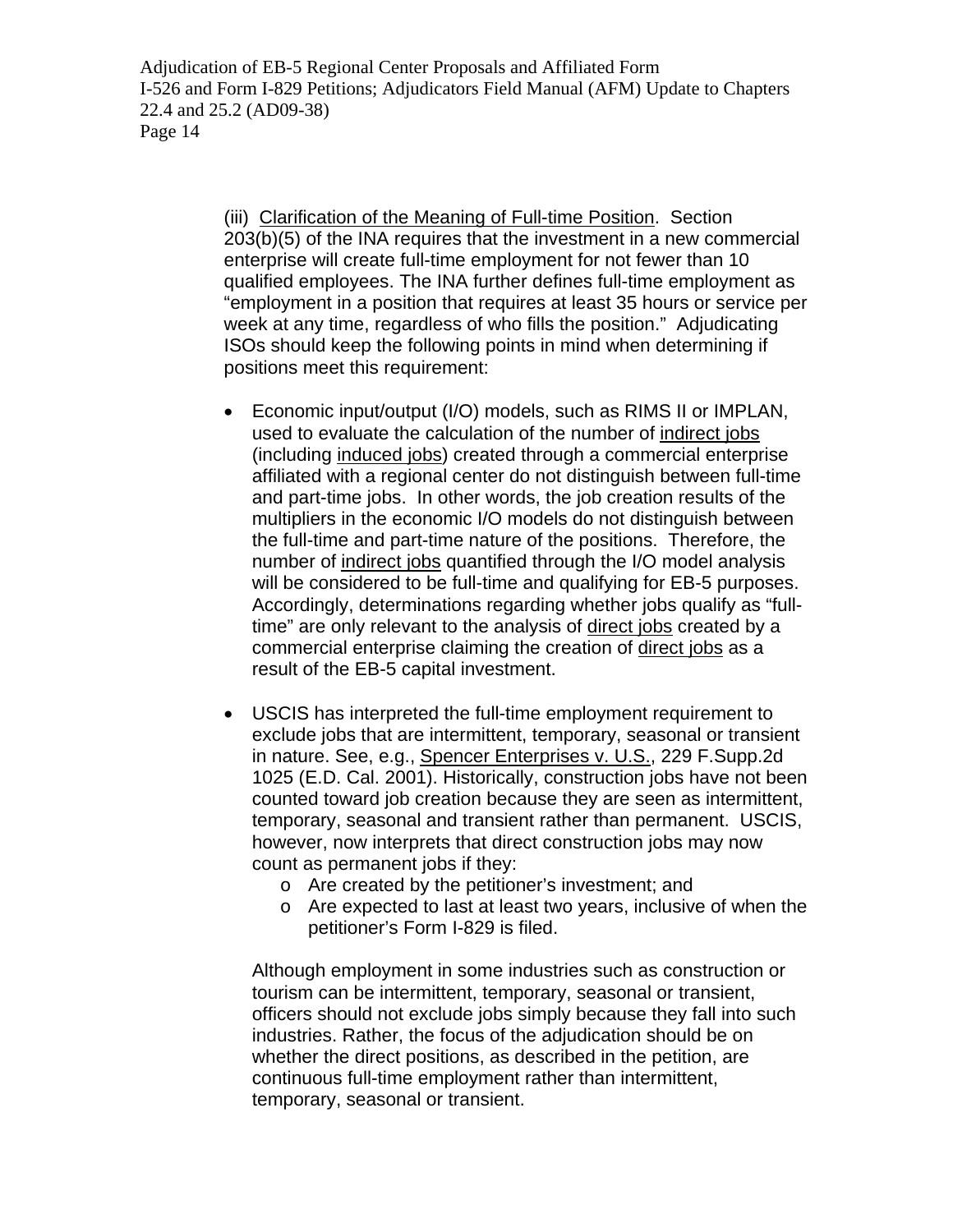> (iii) Clarification of the Meaning of Full-time Position. [Section](http://www.uscis.gov/ilink/docView/SLB/HTML/SLB/0-0-0-1/0-0-0-29/0-0-0-1059.html#0-0-0-1573)  [203\(b\)\(5\)](http://www.uscis.gov/ilink/docView/SLB/HTML/SLB/0-0-0-1/0-0-0-29/0-0-0-1059.html#0-0-0-1573) of the INA requires that the investment in a new commercial enterprise will create full-time employment for not fewer than 10 qualified employees. The INA further defines full-time employment as "employment in a position that requires at least 35 hours or service per week at any time, regardless of who fills the position." Adjudicating ISOs should keep the following points in mind when determining if positions meet this requirement:

- Economic input/output (I/O) models, such as RIMS II or IMPLAN, used to evaluate the calculation of the number of indirect jobs (including induced jobs) created through a commercial enterprise affiliated with a regional center do not distinguish between full-time and part-time jobs. In other words, the job creation results of the multipliers in the economic I/O models do not distinguish between the full-time and part-time nature of the positions. Therefore, the number of indirect jobs quantified through the I/O model analysis will be considered to be full-time and qualifying for EB-5 purposes. Accordingly, determinations regarding whether jobs qualify as "fulltime" are only relevant to the analysis of direct jobs created by a commercial enterprise claiming the creation of direct jobs as a result of the EB-5 capital investment.
- USCIS has interpreted the full-time employment requirement to exclude jobs that are intermittent, temporary, seasonal or transient in nature. See, e.g., Spencer Enterprises v. U.S., 229 F.Supp.2d 1025 (E.D. Cal. 2001). Historically, construction jobs have not been counted toward job creation because they are seen as intermittent, temporary, seasonal and transient rather than permanent. USCIS, however, now interprets that direct construction jobs may now count as permanent jobs if they:
	- o Are created by the petitioner's investment; and
	- o Are expected to last at least two years, inclusive of when the petitioner's Form I-829 is filed.

Although employment in some industries such as construction or tourism can be intermittent, temporary, seasonal or transient, officers should not exclude jobs simply because they fall into such industries. Rather, the focus of the adjudication should be on whether the direct positions, as described in the petition, are continuous full-time employment rather than intermittent, temporary, seasonal or transient.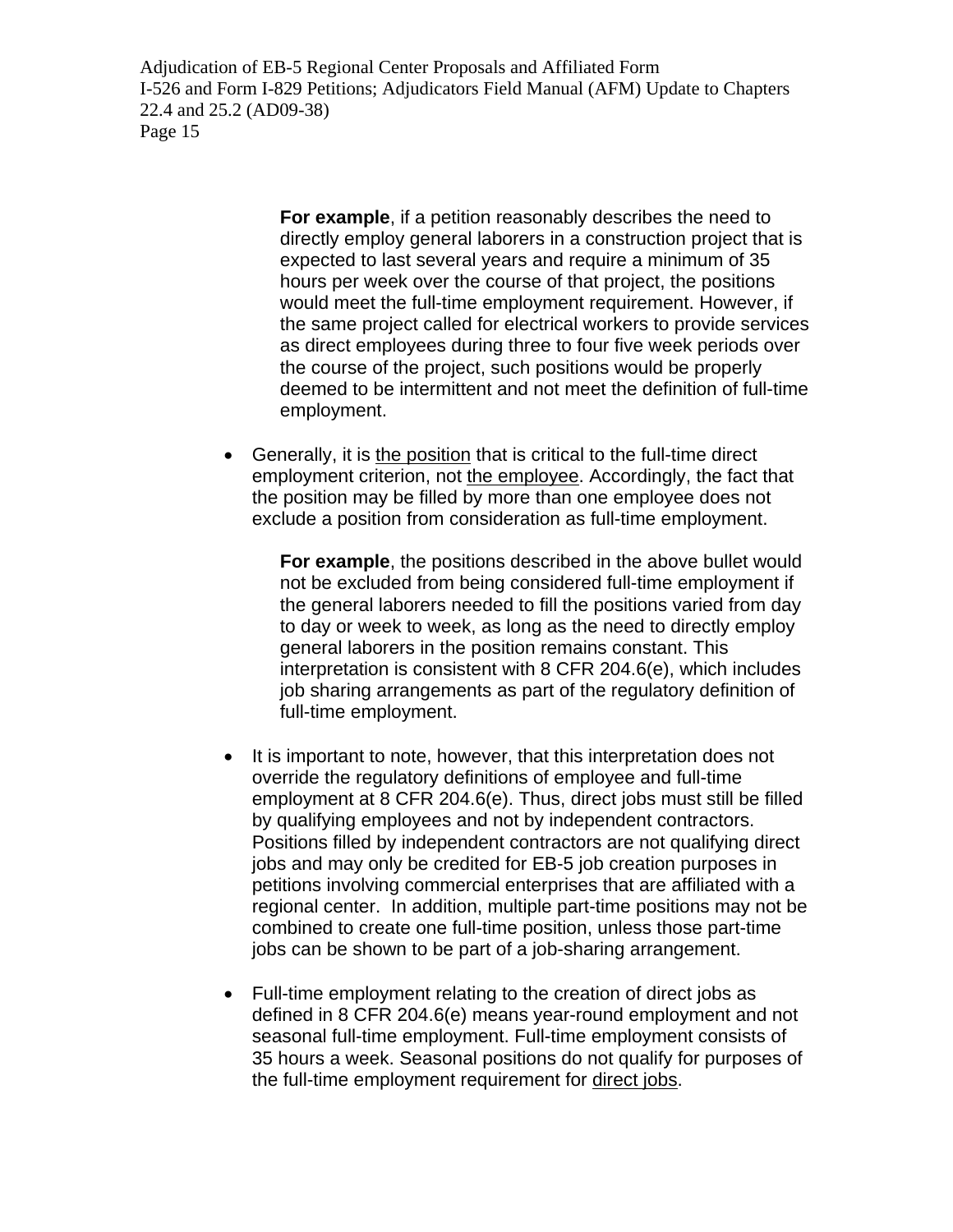> **For example**, if a petition reasonably describes the need to directly employ general laborers in a construction project that is expected to last several years and require a minimum of 35 hours per week over the course of that project, the positions would meet the full-time employment requirement. However, if the same project called for electrical workers to provide services as direct employees during three to four five week periods over the course of the project, such positions would be properly deemed to be intermittent and not meet the definition of full-time employment.

• Generally, it is the position that is critical to the full-time direct employment criterion, not the employee. Accordingly, the fact that the position may be filled by more than one employee does not exclude a position from consideration as full-time employment.

**For example**, the positions described in the above bullet would not be excluded from being considered full-time employment if the general laborers needed to fill the positions varied from day to day or week to week, as long as the need to directly employ general laborers in the position remains constant. This interpretation is consistent with [8 CFR 204.6\(e\)](http://www.uscis.gov/ilink/docView/SLB/HTML/SLB/0-0-0-1/0-0-0-11185/0-0-0-12549/0-0-0-13706.html#0-0-0-10803), which includes job sharing arrangements as part of the regulatory definition of full-time employment.

- It is important to note, however, that this interpretation does not override the regulatory definitions of employee and full-time employment at [8 CFR 204.6\(e\).](http://www.uscis.gov/ilink/docView/SLB/HTML/SLB/0-0-0-1/0-0-0-11185/0-0-0-12549/0-0-0-13706.html#0-0-0-10803) Thus, direct jobs must still be filled by qualifying employees and not by independent contractors. Positions filled by independent contractors are not qualifying direct jobs and may only be credited for EB-5 job creation purposes in petitions involving commercial enterprises that are affiliated with a regional center. In addition, multiple part-time positions may not be combined to create one full-time position, unless those part-time jobs can be shown to be part of a job-sharing arrangement.
- Full-time employment relating to the creation of direct jobs as defined in 8 CFR 204.6(e) means year-round employment and not seasonal full-time employment. Full-time employment consists of 35 hours a week. Seasonal positions do not qualify for purposes of the full-time employment requirement for direct jobs.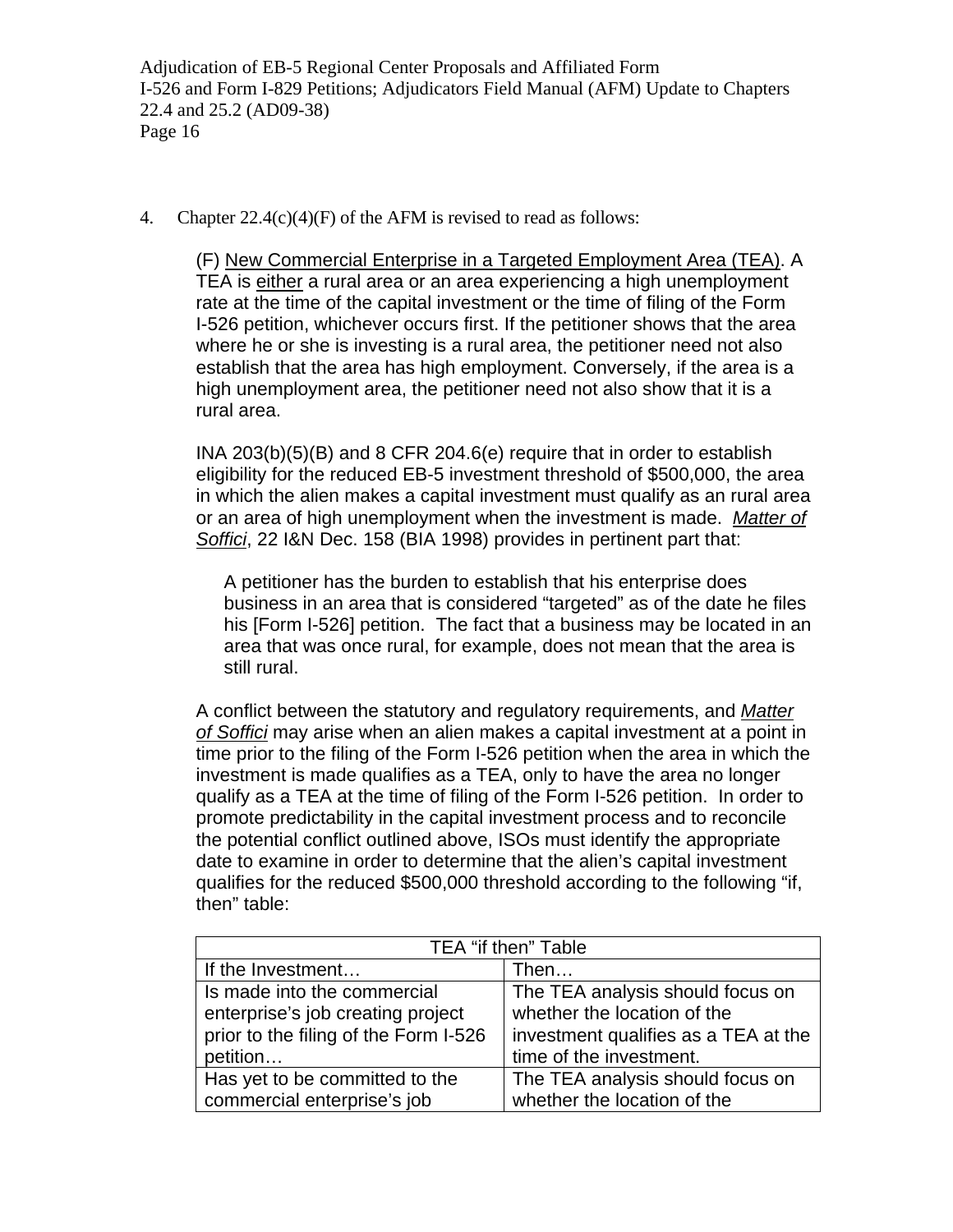4. Chapter  $22.4(c)(4)(F)$  of the AFM is revised to read as follows:

(F) New Commercial Enterprise in a Targeted Employment Area (TEA). A TEA is either a rural area or an area experiencing a high unemployment rate at the time of the capital investment or the time of filing of the Form I-526 petition, whichever occurs first. If the petitioner shows that the area where he or she is investing is a rural area, the petitioner need not also establish that the area has high employment. Conversely, if the area is a high unemployment area, the petitioner need not also show that it is a rural area.

INA 203(b)(5)(B) and 8 CFR 204.6(e) require that in order to establish eligibility for the reduced EB-5 investment threshold of \$500,000, the area in which the alien makes a capital investment must qualify as an rural area or an area of high unemployment when the investment is made. *Matter of Soffici*, 22 I&N Dec. 158 (BIA 1998) provides in pertinent part that:

A petitioner has the burden to establish that his enterprise does business in an area that is considered "targeted" as of the date he files his [Form I-526] petition. The fact that a business may be located in an area that was once rural, for example, does not mean that the area is still rural.

A conflict between the statutory and regulatory requirements, and *Matter of Soffici* may arise when an alien makes a capital investment at a point in time prior to the filing of the Form I-526 petition when the area in which the investment is made qualifies as a TEA, only to have the area no longer qualify as a TEA at the time of filing of the Form I-526 petition. In order to promote predictability in the capital investment process and to reconcile the potential conflict outlined above, ISOs must identify the appropriate date to examine in order to determine that the alien's capital investment qualifies for the reduced \$500,000 threshold according to the following "if, then" table:

| TEA "if then" Table                   |                                      |  |
|---------------------------------------|--------------------------------------|--|
| If the Investment                     | Then                                 |  |
| Is made into the commercial           | The TEA analysis should focus on     |  |
| enterprise's job creating project     | whether the location of the          |  |
| prior to the filing of the Form I-526 | investment qualifies as a TEA at the |  |
| petition                              | time of the investment.              |  |
| Has yet to be committed to the        | The TEA analysis should focus on     |  |
| commercial enterprise's job           | whether the location of the          |  |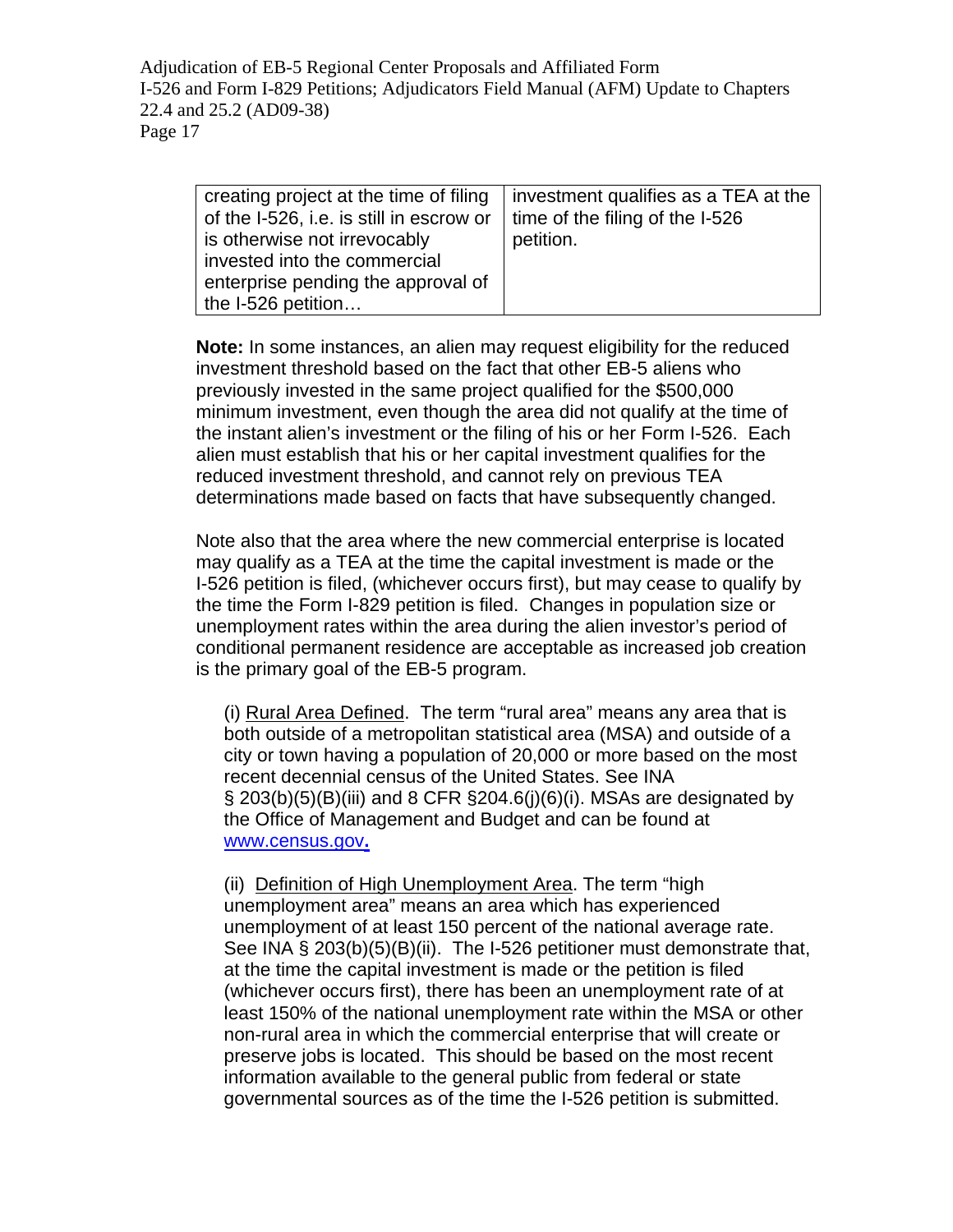| creating project at the time of filing   | investment qualifies as a TEA at the |
|------------------------------------------|--------------------------------------|
| of the I-526, i.e. is still in escrow or | time of the filing of the I-526      |
| is otherwise not irrevocably             | petition.                            |
| invested into the commercial             |                                      |
| enterprise pending the approval of       |                                      |
| the I-526 petition                       |                                      |

**Note:** In some instances, an alien may request eligibility for the reduced investment threshold based on the fact that other EB-5 aliens who previously invested in the same project qualified for the \$500,000 minimum investment, even though the area did not qualify at the time of the instant alien's investment or the filing of his or her Form I-526. Each alien must establish that his or her capital investment qualifies for the reduced investment threshold, and cannot rely on previous TEA determinations made based on facts that have subsequently changed.

Note also that the area where the new commercial enterprise is located may qualify as a TEA at the time the capital investment is made or the I-526 petition is filed, (whichever occurs first), but may cease to qualify by the time the Form I-829 petition is filed. Changes in population size or unemployment rates within the area during the alien investor's period of conditional permanent residence are acceptable as increased job creation is the primary goal of the EB-5 program.

(i) Rural Area Defined. The term "rural area" means any area that is both outside of a metropolitan statistical area (MSA) and outside of a city or town having a population of 20,000 or more based on the most recent decennial census of the United States. See INA  $\S$  [203\(b\)\(5\)\(B\)\(iii\)](http://www.uscis.gov/propub/template.htm?view=document&doc_action=sethitdoc&doc_hit=1&doc_searchcontext=jump&s_context=jump&s_action=newSearch&s_method=applyFilter&s_fieldSearch=nxthomecollectionid|slb&s_fieldSearch=foliodestination|act203b6Biii&s_type=all&hash=0-0-0-1609) and 8 CFR  $\S$ 204.6(j)(6)(i). MSAs are designated by the Office of Management and Budget and can be found at [www.census.gov](http://www.census.gov/)**.**

(ii) Definition of High Unemployment Area. The term "high unemployment area" means an area which has experienced unemployment of at least 150 percent of the national average rate. See INA § 203(b)(5)(B)(ii). The I-526 petitioner must demonstrate that, at the time the capital investment is made or the petition is filed (whichever occurs first), there has been an unemployment rate of at least 150% of the national unemployment rate within the MSA or other non-rural area in which the commercial enterprise that will create or preserve jobs is located. This should be based on the most recent information available to the general public from federal or state governmental sources as of the time the I-526 petition is submitted.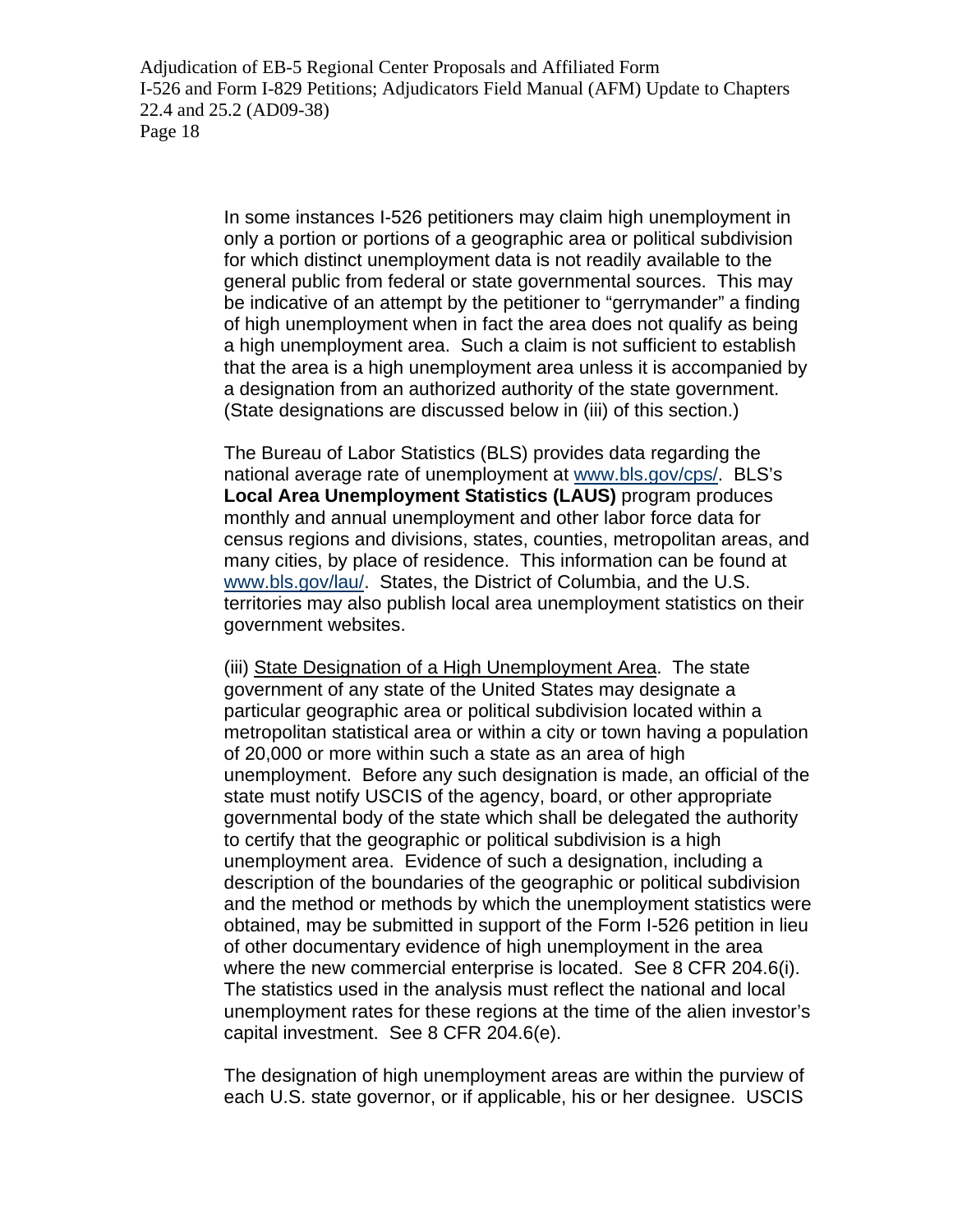> In some instances I-526 petitioners may claim high unemployment in only a portion or portions of a geographic area or political subdivision for which distinct unemployment data is not readily available to the general public from federal or state governmental sources. This may be indicative of an attempt by the petitioner to "gerrymander" a finding of high unemployment when in fact the area does not qualify as being a high unemployment area. Such a claim is not sufficient to establish that the area is a high unemployment area unless it is accompanied by a designation from an authorized authority of the state government. (State designations are discussed below in (iii) of this section.)

> The Bureau of Labor Statistics (BLS) provides data regarding the national average rate of unemployment at [www.bls.gov/cps/](http://www.bls.gov/cps/). BLS's **Local Area Unemployment Statistics (LAUS)** program produces monthly and annual unemployment and other labor force data for census regions and divisions, states, counties, metropolitan areas, and many cities, by place of residence. This information can be found at [www.bls.gov/lau/](http://www.bls.gov/lau/). States, the District of Columbia, and the U.S. territories may also publish local area unemployment statistics on their government websites.

> (iii) State Designation of a High Unemployment Area. The state government of any state of the United States may designate a particular geographic area or political subdivision located within a metropolitan statistical area or within a city or town having a population of 20,000 or more within such a state as an area of high unemployment. Before any such designation is made, an official of the state must notify USCIS of the agency, board, or other appropriate governmental body of the state which shall be delegated the authority to certify that the geographic or political subdivision is a high unemployment area. Evidence of such a designation, including a description of the boundaries of the geographic or political subdivision and the method or methods by which the unemployment statistics were obtained, may be submitted in support of the Form I-526 petition in lieu of other documentary evidence of high unemployment in the area where the new commercial enterprise is located. See 8 CFR 204.6(i). The statistics used in the analysis must reflect the national and local unemployment rates for these regions at the time of the alien investor's capital investment. See 8 CFR 204.6(e).

The designation of high unemployment areas are within the purview of each U.S. state governor, or if applicable, his or her designee. USCIS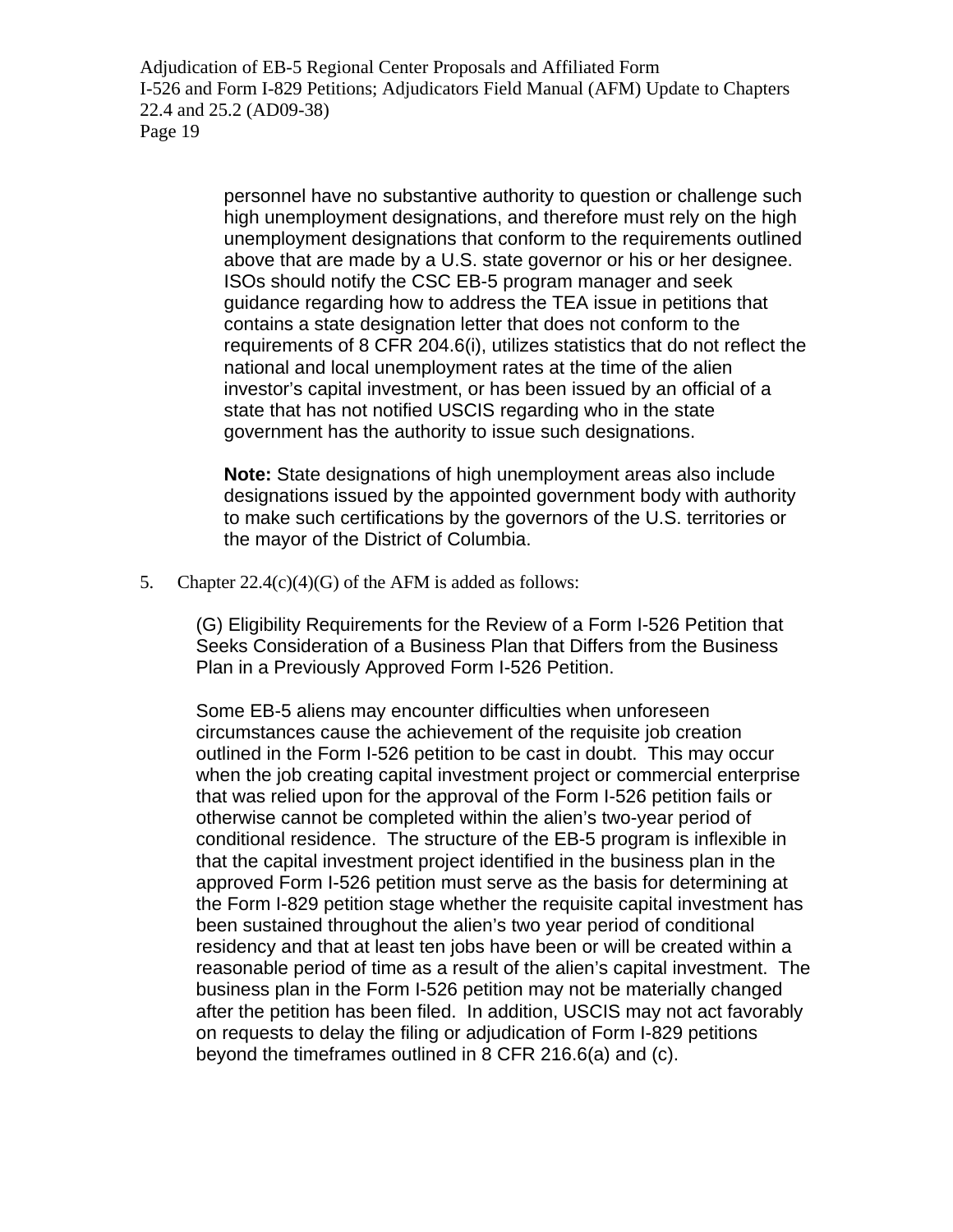> personnel have no substantive authority to question or challenge such high unemployment designations, and therefore must rely on the high unemployment designations that conform to the requirements outlined above that are made by a U.S. state governor or his or her designee. ISOs should notify the CSC EB-5 program manager and seek guidance regarding how to address the TEA issue in petitions that contains a state designation letter that does not conform to the requirements of 8 CFR 204.6(i), utilizes statistics that do not reflect the national and local unemployment rates at the time of the alien investor's capital investment, or has been issued by an official of a state that has not notified USCIS regarding who in the state government has the authority to issue such designations.

**Note:** State designations of high unemployment areas also include designations issued by the appointed government body with authority to make such certifications by the governors of the U.S. territories or the mayor of the District of Columbia.

5. Chapter  $22.4(c)(4)(G)$  of the AFM is added as follows:

(G) Eligibility Requirements for the Review of a Form I-526 Petition that Seeks Consideration of a Business Plan that Differs from the Business Plan in a Previously Approved Form I-526 Petition.

Some EB-5 aliens may encounter difficulties when unforeseen circumstances cause the achievement of the requisite job creation outlined in the Form I-526 petition to be cast in doubt. This may occur when the job creating capital investment project or commercial enterprise that was relied upon for the approval of the Form I-526 petition fails or otherwise cannot be completed within the alien's two-year period of conditional residence. The structure of the EB-5 program is inflexible in that the capital investment project identified in the business plan in the approved Form I-526 petition must serve as the basis for determining at the Form I-829 petition stage whether the requisite capital investment has been sustained throughout the alien's two year period of conditional residency and that at least ten jobs have been or will be created within a reasonable period of time as a result of the alien's capital investment. The business plan in the Form I-526 petition may not be materially changed after the petition has been filed. In addition, USCIS may not act favorably on requests to delay the filing or adjudication of Form I-829 petitions beyond the timeframes outlined in 8 CFR 216.6(a) and (c).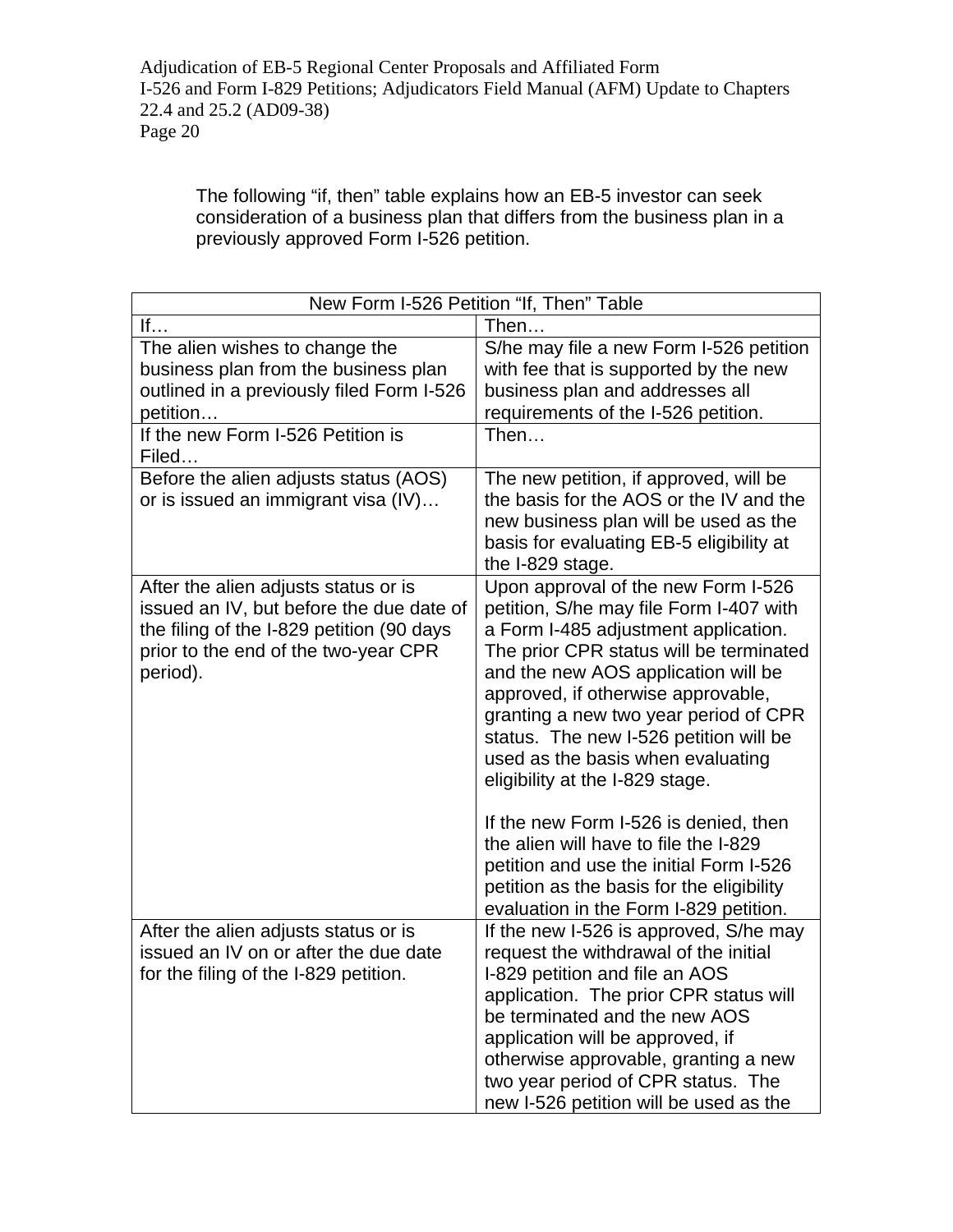The following "if, then" table explains how an EB-5 investor can seek consideration of a business plan that differs from the business plan in a previously approved Form I-526 petition.

| New Form I-526 Petition "If, Then" Table                                                                                                                                          |                                                                                                                                                                                                                                                                                                                                                                                                                                                                                                                                                                                     |  |
|-----------------------------------------------------------------------------------------------------------------------------------------------------------------------------------|-------------------------------------------------------------------------------------------------------------------------------------------------------------------------------------------------------------------------------------------------------------------------------------------------------------------------------------------------------------------------------------------------------------------------------------------------------------------------------------------------------------------------------------------------------------------------------------|--|
| If                                                                                                                                                                                | Then                                                                                                                                                                                                                                                                                                                                                                                                                                                                                                                                                                                |  |
| The alien wishes to change the<br>business plan from the business plan<br>outlined in a previously filed Form I-526<br>petition                                                   | S/he may file a new Form I-526 petition<br>with fee that is supported by the new<br>business plan and addresses all<br>requirements of the I-526 petition.                                                                                                                                                                                                                                                                                                                                                                                                                          |  |
| If the new Form I-526 Petition is<br>Filed                                                                                                                                        | Then                                                                                                                                                                                                                                                                                                                                                                                                                                                                                                                                                                                |  |
| Before the alien adjusts status (AOS)<br>or is issued an immigrant visa (IV)                                                                                                      | The new petition, if approved, will be<br>the basis for the AOS or the IV and the<br>new business plan will be used as the<br>basis for evaluating EB-5 eligibility at<br>the I-829 stage.                                                                                                                                                                                                                                                                                                                                                                                          |  |
| After the alien adjusts status or is<br>issued an IV, but before the due date of<br>the filing of the I-829 petition (90 days<br>prior to the end of the two-year CPR<br>period). | Upon approval of the new Form I-526<br>petition, S/he may file Form I-407 with<br>a Form I-485 adjustment application.<br>The prior CPR status will be terminated<br>and the new AOS application will be<br>approved, if otherwise approvable,<br>granting a new two year period of CPR<br>status. The new I-526 petition will be<br>used as the basis when evaluating<br>eligibility at the I-829 stage.<br>If the new Form I-526 is denied, then<br>the alien will have to file the I-829<br>petition and use the initial Form I-526<br>petition as the basis for the eligibility |  |
| After the alien adjusts status or is<br>issued an IV on or after the due date<br>for the filing of the I-829 petition.                                                            | evaluation in the Form I-829 petition.<br>If the new I-526 is approved, S/he may<br>request the withdrawal of the initial<br>I-829 petition and file an AOS<br>application. The prior CPR status will<br>be terminated and the new AOS<br>application will be approved, if<br>otherwise approvable, granting a new<br>two year period of CPR status. The<br>new I-526 petition will be used as the                                                                                                                                                                                  |  |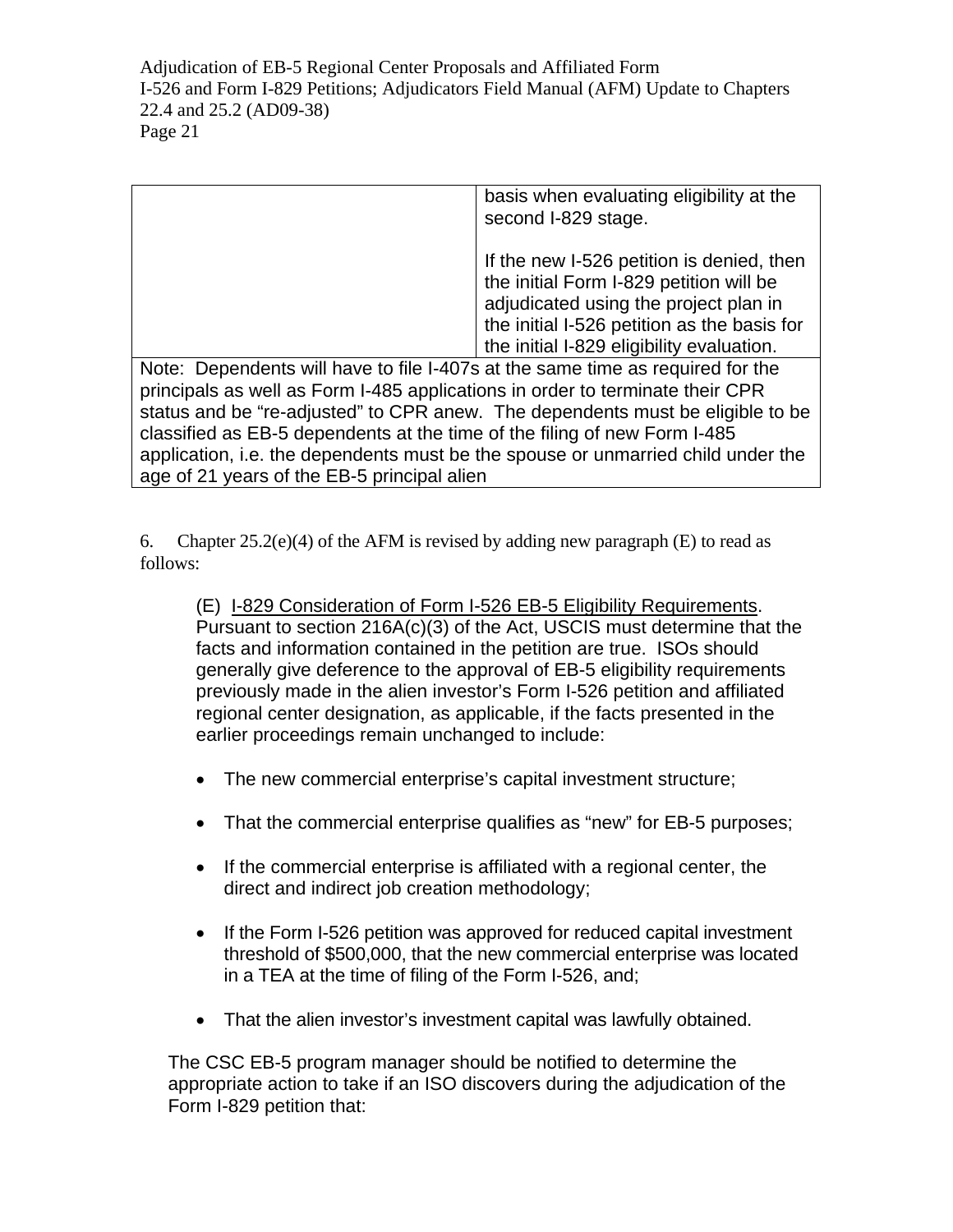|                                                                                  | basis when evaluating eligibility at the    |  |
|----------------------------------------------------------------------------------|---------------------------------------------|--|
|                                                                                  | second I-829 stage.                         |  |
|                                                                                  |                                             |  |
|                                                                                  | If the new I-526 petition is denied, then   |  |
|                                                                                  | the initial Form I-829 petition will be     |  |
|                                                                                  | adjudicated using the project plan in       |  |
|                                                                                  | the initial I-526 petition as the basis for |  |
|                                                                                  | the initial I-829 eligibility evaluation.   |  |
| Note: Dependents will have to file I-407s at the same time as required for the   |                                             |  |
| principals as well as Form I-485 applications in order to terminate their CPR    |                                             |  |
| status and be "re-adjusted" to CPR anew. The dependents must be eligible to be   |                                             |  |
| classified as EB-5 dependents at the time of the filing of new Form I-485        |                                             |  |
| application, i.e. the dependents must be the spouse or unmarried child under the |                                             |  |
| age of 21 years of the EB-5 principal alien                                      |                                             |  |

6. Chapter  $25.2(e)(4)$  of the AFM is revised by adding new paragraph (E) to read as follows:

(E) I-829 Consideration of Form I-526 EB-5 Eligibility Requirements. Pursuant to section [216A\(c\)\(3\)](http://www.uscis.gov/propub/template.htm?view=document&doc_action=sethitdoc&doc_hit=1&doc_searchcontext=jump&s_context=jump&s_action=newSearch&s_method=applyFilter&s_fieldSearch=nxthomecollectionid|slb&s_fieldSearch=foliodestination|act216ac3&s_type=all&hash=0-0-0-3753) of the Act, USCIS must determine that the facts and information contained in the petition are true. ISOs should generally give deference to the approval of EB-5 eligibility requirements previously made in the alien investor's Form I-526 petition and affiliated regional center designation, as applicable, if the facts presented in the earlier proceedings remain unchanged to include:

- The new commercial enterprise's capital investment structure;
- That the commercial enterprise qualifies as "new" for EB-5 purposes;
- If the commercial enterprise is affiliated with a regional center, the direct and indirect job creation methodology;
- If the Form I-526 petition was approved for reduced capital investment threshold of \$500,000, that the new commercial enterprise was located in a TEA at the time of filing of the Form I-526, and;
- That the alien investor's investment capital was lawfully obtained.

The CSC EB-5 program manager should be notified to determine the appropriate action to take if an ISO discovers during the adjudication of the Form I-829 petition that: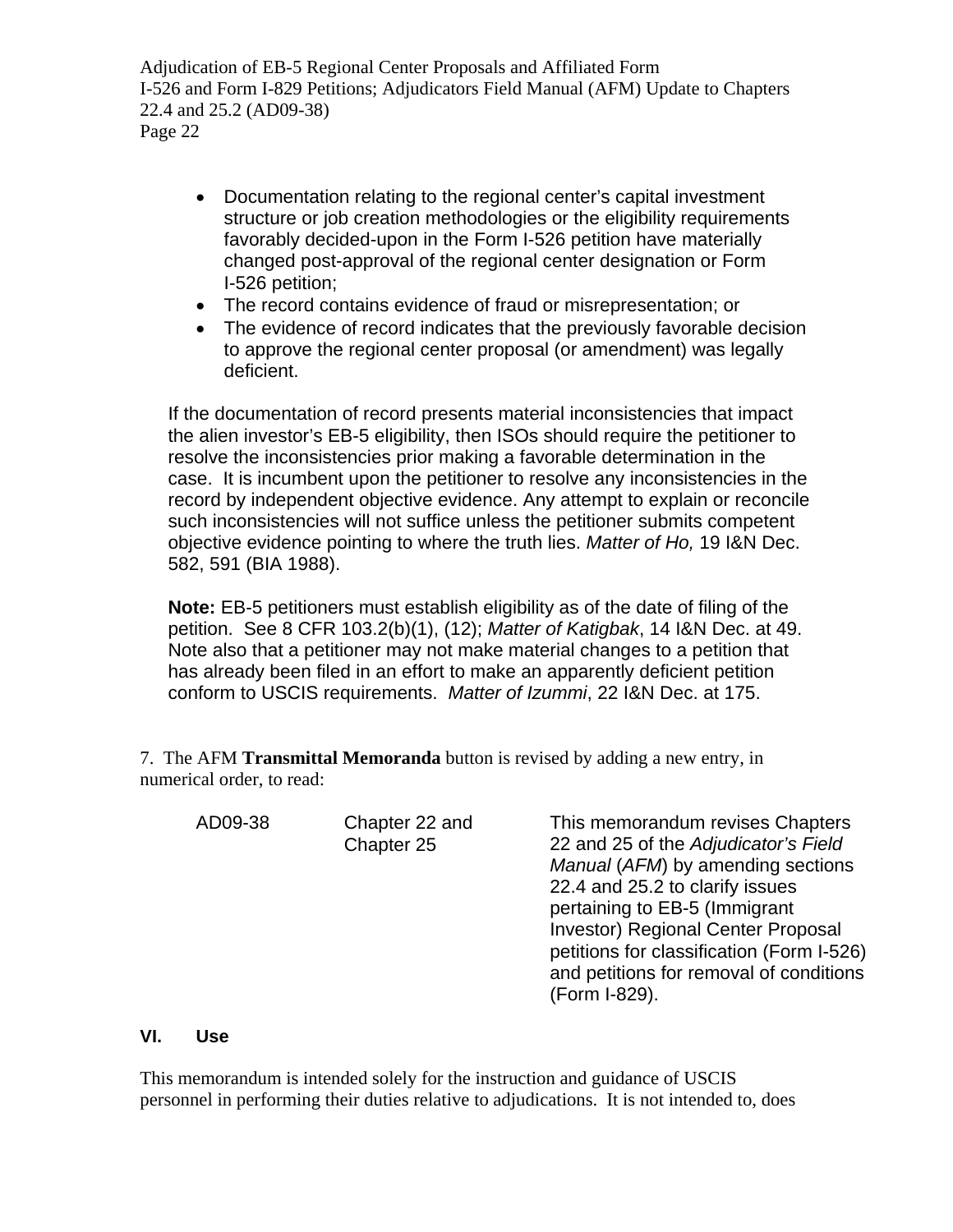- Documentation relating to the regional center's capital investment structure or job creation methodologies or the eligibility requirements favorably decided-upon in the Form I-526 petition have materially changed post-approval of the regional center designation or Form I-526 petition;
- The record contains evidence of fraud or misrepresentation; or
- The evidence of record indicates that the previously favorable decision to approve the regional center proposal (or amendment) was legally deficient.

If the documentation of record presents material inconsistencies that impact the alien investor's EB-5 eligibility, then ISOs should require the petitioner to resolve the inconsistencies prior making a favorable determination in the case. It is incumbent upon the petitioner to resolve any inconsistencies in the record by independent objective evidence. Any attempt to explain or reconcile such inconsistencies will not suffice unless the petitioner submits competent objective evidence pointing to where the truth lies. *Matter of Ho,* 19 I&N Dec. 582, 591 (BIA 1988).

**Note:** EB-5 petitioners must establish eligibility as of the date of filing of the petition. See 8 CFR 103.2(b)(1), (12); *Matter of Katigbak*, 14 I&N Dec. at 49. Note also that a petitioner may not make material changes to a petition that has already been filed in an effort to make an apparently deficient petition conform to USCIS requirements. *Matter of Izummi*, 22 I&N Dec. at 175.

7. The AFM **Transmittal Memoranda** button is revised by adding a new entry, in numerical order, to read:

AD09-38 Chapter 22 and Chapter 25 This memorandum revises Chapters 22 and 25 of the *Adjudicator's Field Manual* (*AFM*) by amending sections 22.4 and 25.2 to clarify issues pertaining to EB-5 (Immigrant Investor) Regional Center Proposal petitions for classification (Form I-526) and petitions for removal of conditions (Form I-829).

## **VI. Use**

This memorandum is intended solely for the instruction and guidance of USCIS personnel in performing their duties relative to adjudications. It is not intended to, does